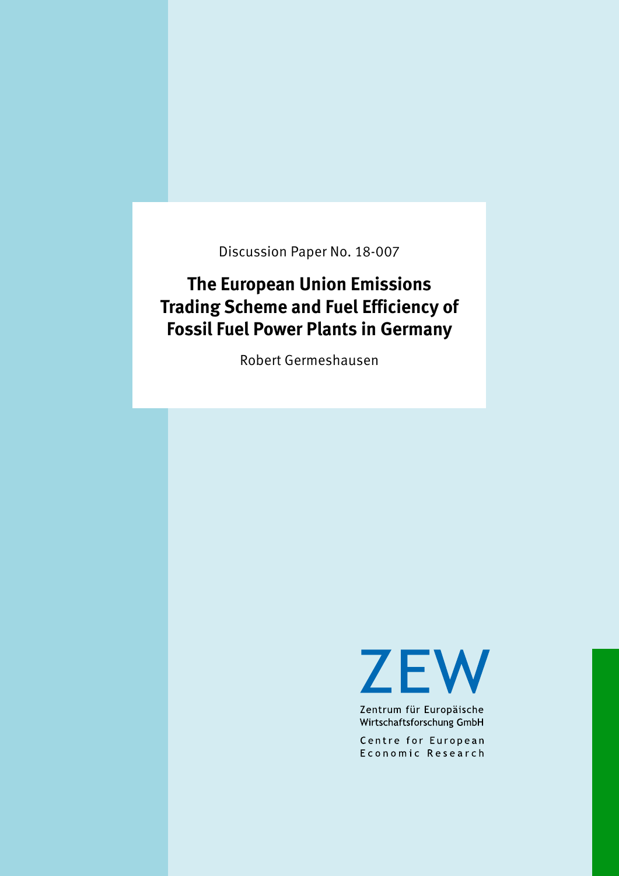Discussion Paper No. 18-007

# **The European Union Emissions Trading Scheme and Fuel Efficiency of Fossil Fuel Power Plants in Germany**

Robert Germeshausen

**ZEW** 

Zentrum für Europäische Wirtschaftsforschung GmbH

Centre for European Economic Research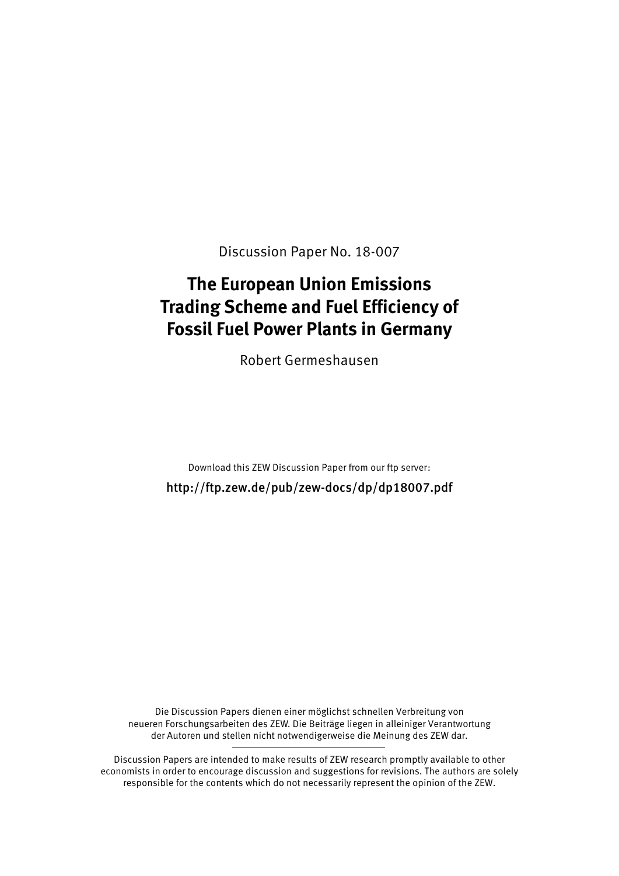Discussion Paper No. 18-007

# **The European Union Emissions Trading Scheme and Fuel Efficiency of Fossil Fuel Power Plants in Germany**

Robert Germeshausen

Download this ZEW Discussion Paper from our ftp server:

http://ftp.zew.de/pub/zew-docs/dp/dp18007.pdf

Die Discussion Papers dienen einer möglichst schnellen Verbreitung von neueren Forschungsarbeiten des ZEW. Die Beiträge liegen in alleiniger Verantwortung der Autoren und stellen nicht notwendigerweise die Meinung des ZEW dar.

Discussion Papers are intended to make results of ZEW research promptly available to other economists in order to encourage discussion and suggestions for revisions. The authors are solely responsible for the contents which do not necessarily represent the opinion of the ZEW.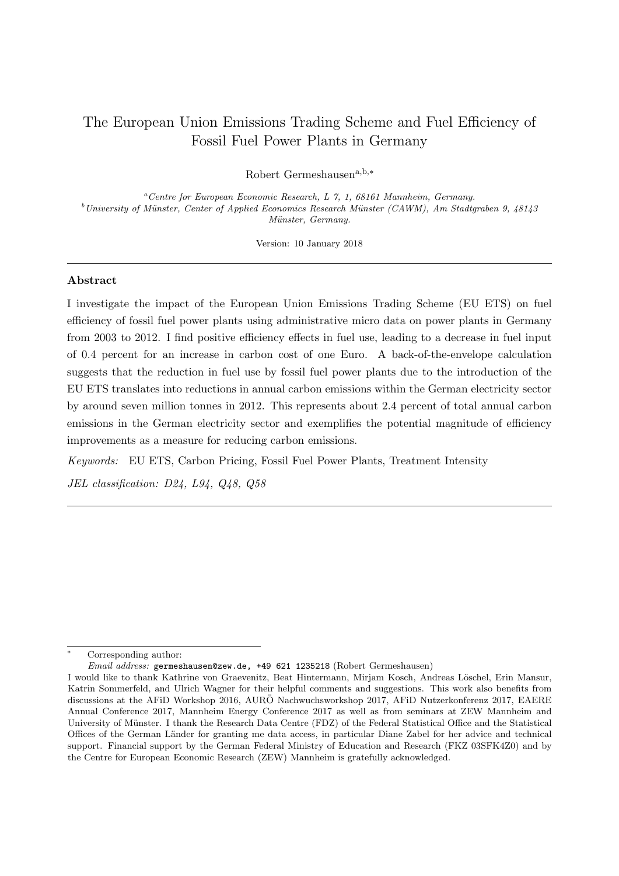# The European Union Emissions Trading Scheme and Fuel Efficiency of Fossil Fuel Power Plants in Germany

Robert Germeshausen $a,b,*$ 

<sup>a</sup>Centre for European Economic Research, L 7, 1, 68161 Mannheim, Germany.  $b$ University of Münster, Center of Applied Economics Research Münster (CAWM), Am Stadtgraben 9, 48143 Münster, Germany.

Version: 10 January 2018

# Abstract

I investigate the impact of the European Union Emissions Trading Scheme (EU ETS) on fuel efficiency of fossil fuel power plants using administrative micro data on power plants in Germany from 2003 to 2012. I find positive efficiency effects in fuel use, leading to a decrease in fuel input of 0.4 percent for an increase in carbon cost of one Euro. A back-of-the-envelope calculation suggests that the reduction in fuel use by fossil fuel power plants due to the introduction of the EU ETS translates into reductions in annual carbon emissions within the German electricity sector by around seven million tonnes in 2012. This represents about 2.4 percent of total annual carbon emissions in the German electricity sector and exemplifies the potential magnitude of efficiency improvements as a measure for reducing carbon emissions.

Keywords: EU ETS, Carbon Pricing, Fossil Fuel Power Plants, Treatment Intensity

JEL classification: D24, L94, Q48, Q58

Corresponding author:

Email address: germeshausen@zew.de, +49 621 1235218 (Robert Germeshausen)

I would like to thank Kathrine von Graevenitz, Beat Hintermann, Mirjam Kosch, Andreas L¨oschel, Erin Mansur, Katrin Sommerfeld, and Ulrich Wagner for their helpful comments and suggestions. This work also benefits from discussions at the AFiD Workshop 2016, AURÖ Nachwuchsworkshop 2017, AFiD Nutzerkonferenz 2017, EAERE Annual Conference 2017, Mannheim Energy Conference 2017 as well as from seminars at ZEW Mannheim and University of Münster. I thank the Research Data Centre (FDZ) of the Federal Statistical Office and the Statistical Offices of the German L¨ander for granting me data access, in particular Diane Zabel for her advice and technical support. Financial support by the German Federal Ministry of Education and Research (FKZ 03SFK4Z0) and by the Centre for European Economic Research (ZEW) Mannheim is gratefully acknowledged.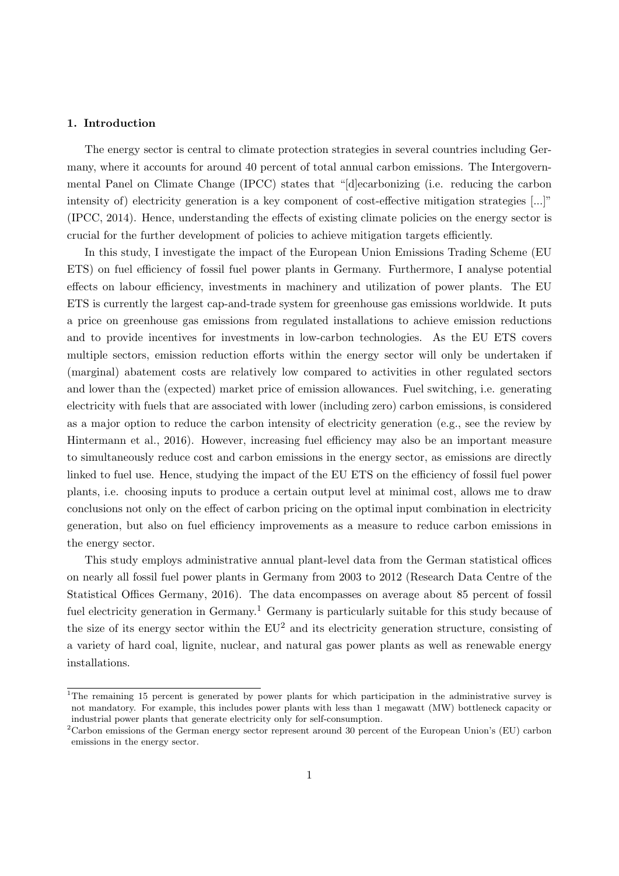# 1. Introduction

The energy sector is central to climate protection strategies in several countries including Germany, where it accounts for around 40 percent of total annual carbon emissions. The Intergovernmental Panel on Climate Change (IPCC) states that "[d]ecarbonizing (i.e. reducing the carbon intensity of) electricity generation is a key component of cost-effective mitigation strategies [...]" [\(IPCC, 2014\)](#page-33-0). Hence, understanding the effects of existing climate policies on the energy sector is crucial for the further development of policies to achieve mitigation targets efficiently.

In this study, I investigate the impact of the European Union Emissions Trading Scheme (EU ETS) on fuel efficiency of fossil fuel power plants in Germany. Furthermore, I analyse potential effects on labour efficiency, investments in machinery and utilization of power plants. The EU ETS is currently the largest cap-and-trade system for greenhouse gas emissions worldwide. It puts a price on greenhouse gas emissions from regulated installations to achieve emission reductions and to provide incentives for investments in low-carbon technologies. As the EU ETS covers multiple sectors, emission reduction efforts within the energy sector will only be undertaken if (marginal) abatement costs are relatively low compared to activities in other regulated sectors and lower than the (expected) market price of emission allowances. Fuel switching, i.e. generating electricity with fuels that are associated with lower (including zero) carbon emissions, is considered as a major option to reduce the carbon intensity of electricity generation (e.g., see the review by [Hintermann et al., 2016\)](#page-33-1). However, increasing fuel efficiency may also be an important measure to simultaneously reduce cost and carbon emissions in the energy sector, as emissions are directly linked to fuel use. Hence, studying the impact of the EU ETS on the efficiency of fossil fuel power plants, i.e. choosing inputs to produce a certain output level at minimal cost, allows me to draw conclusions not only on the effect of carbon pricing on the optimal input combination in electricity generation, but also on fuel efficiency improvements as a measure to reduce carbon emissions in the energy sector.

This study employs administrative annual plant-level data from the German statistical offices on nearly all fossil fuel power plants in Germany from 2003 to 2012 [\(Research Data Centre of the](#page-34-0) [Statistical Offices Germany, 2016\)](#page-34-0). The data encompasses on average about 85 percent of fossil fuel electricity generation in Germany.<sup>[1](#page-3-0)</sup> Germany is particularly suitable for this study because of the size of its energy sector within the  $EU^2$  $EU^2$  and its electricity generation structure, consisting of a variety of hard coal, lignite, nuclear, and natural gas power plants as well as renewable energy installations.

<span id="page-3-0"></span><sup>&</sup>lt;sup>1</sup>The remaining 15 percent is generated by power plants for which participation in the administrative survey is not mandatory. For example, this includes power plants with less than 1 megawatt (MW) bottleneck capacity or industrial power plants that generate electricity only for self-consumption.

<span id="page-3-1"></span><sup>&</sup>lt;sup>2</sup>Carbon emissions of the German energy sector represent around 30 percent of the European Union's (EU) carbon emissions in the energy sector.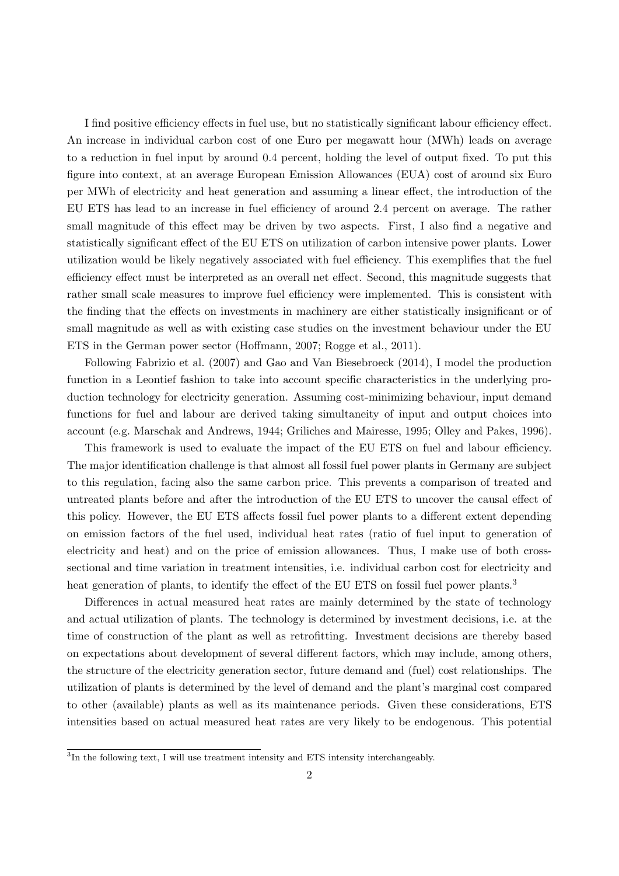I find positive efficiency effects in fuel use, but no statistically significant labour efficiency effect. An increase in individual carbon cost of one Euro per megawatt hour (MWh) leads on average to a reduction in fuel input by around 0.4 percent, holding the level of output fixed. To put this figure into context, at an average European Emission Allowances (EUA) cost of around six Euro per MWh of electricity and heat generation and assuming a linear effect, the introduction of the EU ETS has lead to an increase in fuel efficiency of around 2.4 percent on average. The rather small magnitude of this effect may be driven by two aspects. First, I also find a negative and statistically significant effect of the EU ETS on utilization of carbon intensive power plants. Lower utilization would be likely negatively associated with fuel efficiency. This exemplifies that the fuel efficiency effect must be interpreted as an overall net effect. Second, this magnitude suggests that rather small scale measures to improve fuel efficiency were implemented. This is consistent with the finding that the effects on investments in machinery are either statistically insignificant or of small magnitude as well as with existing case studies on the investment behaviour under the EU ETS in the German power sector [\(Hoffmann, 2007;](#page-33-2) [Rogge et al., 2011\)](#page-34-1).

Following [Fabrizio et al.](#page-32-0) [\(2007\)](#page-32-0) and [Gao and Van Biesebroeck](#page-32-1) [\(2014\)](#page-32-1), I model the production function in a Leontief fashion to take into account specific characteristics in the underlying production technology for electricity generation. Assuming cost-minimizing behaviour, input demand functions for fuel and labour are derived taking simultaneity of input and output choices into account (e.g. [Marschak and Andrews, 1944;](#page-33-3) [Griliches and Mairesse, 1995;](#page-33-4) [Olley and Pakes, 1996\)](#page-34-2).

This framework is used to evaluate the impact of the EU ETS on fuel and labour efficiency. The major identification challenge is that almost all fossil fuel power plants in Germany are subject to this regulation, facing also the same carbon price. This prevents a comparison of treated and untreated plants before and after the introduction of the EU ETS to uncover the causal effect of this policy. However, the EU ETS affects fossil fuel power plants to a different extent depending on emission factors of the fuel used, individual heat rates (ratio of fuel input to generation of electricity and heat) and on the price of emission allowances. Thus, I make use of both crosssectional and time variation in treatment intensities, i.e. individual carbon cost for electricity and heat generation of plants, to identify the effect of the EU ETS on fossil fuel power plants.<sup>[3](#page-4-0)</sup>

Differences in actual measured heat rates are mainly determined by the state of technology and actual utilization of plants. The technology is determined by investment decisions, i.e. at the time of construction of the plant as well as retrofitting. Investment decisions are thereby based on expectations about development of several different factors, which may include, among others, the structure of the electricity generation sector, future demand and (fuel) cost relationships. The utilization of plants is determined by the level of demand and the plant's marginal cost compared to other (available) plants as well as its maintenance periods. Given these considerations, ETS intensities based on actual measured heat rates are very likely to be endogenous. This potential

<span id="page-4-0"></span><sup>&</sup>lt;sup>3</sup>In the following text, I will use treatment intensity and ETS intensity interchangeably.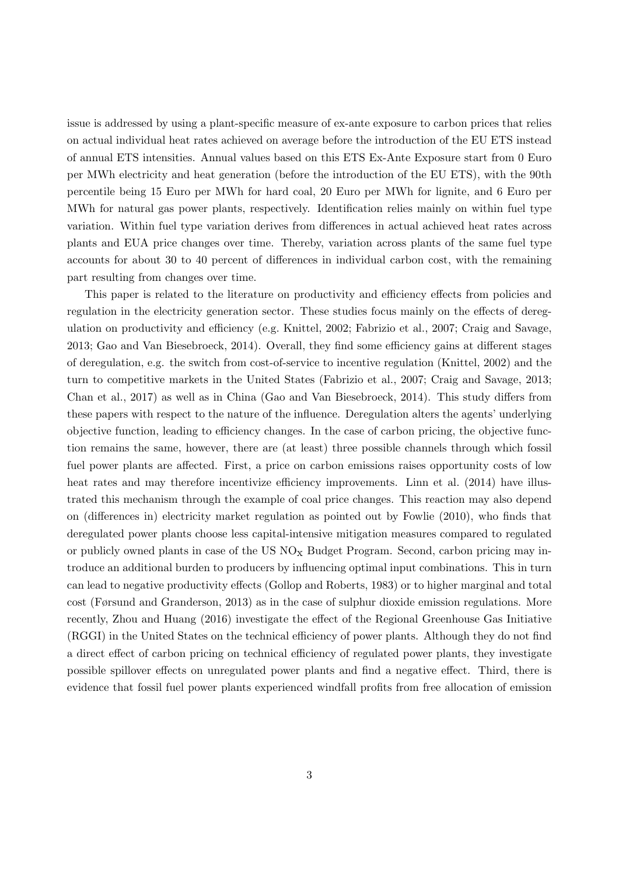issue is addressed by using a plant-specific measure of ex-ante exposure to carbon prices that relies on actual individual heat rates achieved on average before the introduction of the EU ETS instead of annual ETS intensities. Annual values based on this ETS Ex-Ante Exposure start from 0 Euro per MWh electricity and heat generation (before the introduction of the EU ETS), with the 90th percentile being 15 Euro per MWh for hard coal, 20 Euro per MWh for lignite, and 6 Euro per MWh for natural gas power plants, respectively. Identification relies mainly on within fuel type variation. Within fuel type variation derives from differences in actual achieved heat rates across plants and EUA price changes over time. Thereby, variation across plants of the same fuel type accounts for about 30 to 40 percent of differences in individual carbon cost, with the remaining part resulting from changes over time.

This paper is related to the literature on productivity and efficiency effects from policies and regulation in the electricity generation sector. These studies focus mainly on the effects of deregulation on productivity and efficiency (e.g. [Knittel, 2002;](#page-33-5) [Fabrizio et al., 2007;](#page-32-0) [Craig and Savage,](#page-32-2) [2013;](#page-32-2) [Gao and Van Biesebroeck, 2014\)](#page-32-1). Overall, they find some efficiency gains at different stages of deregulation, e.g. the switch from cost-of-service to incentive regulation [\(Knittel, 2002\)](#page-33-5) and the turn to competitive markets in the United States [\(Fabrizio et al., 2007;](#page-32-0) [Craig and Savage, 2013;](#page-32-2) [Chan et al., 2017\)](#page-32-3) as well as in China [\(Gao and Van Biesebroeck, 2014\)](#page-32-1). This study differs from these papers with respect to the nature of the influence. Deregulation alters the agents' underlying objective function, leading to efficiency changes. In the case of carbon pricing, the objective function remains the same, however, there are (at least) three possible channels through which fossil fuel power plants are affected. First, a price on carbon emissions raises opportunity costs of low heat rates and may therefore incentivize efficiency improvements. [Linn et al.](#page-33-6) [\(2014\)](#page-33-6) have illustrated this mechanism through the example of coal price changes. This reaction may also depend on (differences in) electricity market regulation as pointed out by [Fowlie](#page-32-4) [\(2010\)](#page-32-4), who finds that deregulated power plants choose less capital-intensive mitigation measures compared to regulated or publicly owned plants in case of the  $US NO<sub>x</sub>$  Budget Program. Second, carbon pricing may introduce an additional burden to producers by influencing optimal input combinations. This in turn can lead to negative productivity effects [\(Gollop and Roberts, 1983\)](#page-32-5) or to higher marginal and total cost [\(Førsund and Granderson, 2013\)](#page-32-6) as in the case of sulphur dioxide emission regulations. More recently, [Zhou and Huang](#page-34-3) [\(2016\)](#page-34-3) investigate the effect of the Regional Greenhouse Gas Initiative (RGGI) in the United States on the technical efficiency of power plants. Although they do not find a direct effect of carbon pricing on technical efficiency of regulated power plants, they investigate possible spillover effects on unregulated power plants and find a negative effect. Third, there is evidence that fossil fuel power plants experienced windfall profits from free allocation of emission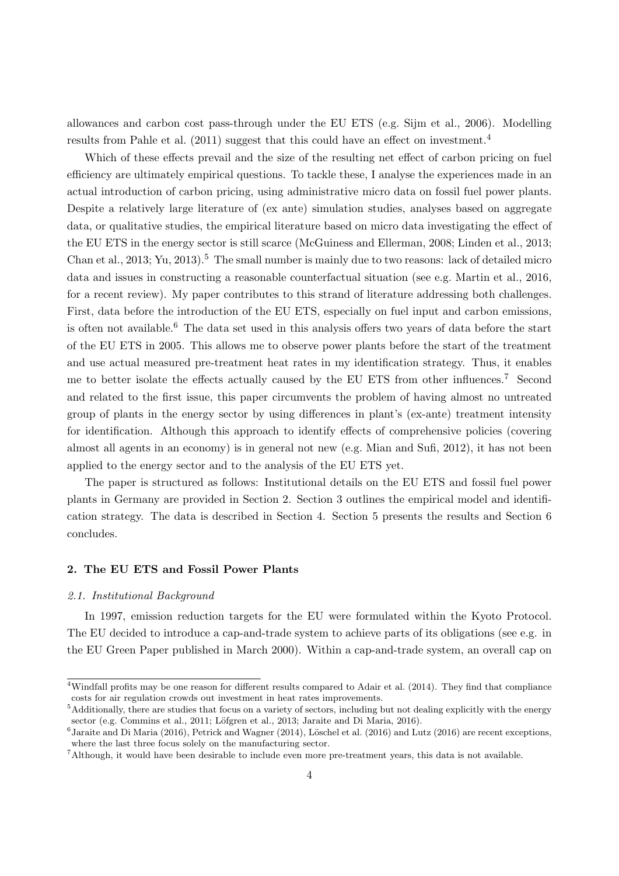allowances and carbon cost pass-through under the EU ETS (e.g. [Sijm et al., 2006\)](#page-34-4). Modelling results from [Pahle et al.](#page-34-5) [\(2011\)](#page-34-5) suggest that this could have an effect on investment.<sup>[4](#page-6-0)</sup>

Which of these effects prevail and the size of the resulting net effect of carbon pricing on fuel efficiency are ultimately empirical questions. To tackle these, I analyse the experiences made in an actual introduction of carbon pricing, using administrative micro data on fossil fuel power plants. Despite a relatively large literature of (ex ante) simulation studies, analyses based on aggregate data, or qualitative studies, the empirical literature based on micro data investigating the effect of the EU ETS in the energy sector is still scarce [\(McGuiness and Ellerman, 2008;](#page-33-7) [Linden et al., 2013;](#page-33-8) [Chan et al., 2013;](#page-32-7) [Yu, 2013\)](#page-34-6).<sup>[5](#page-6-1)</sup> The small number is mainly due to two reasons: lack of detailed micro data and issues in constructing a reasonable counterfactual situation (see e.g. [Martin et al., 2016,](#page-33-9) for a recent review). My paper contributes to this strand of literature addressing both challenges. First, data before the introduction of the EU ETS, especially on fuel input and carbon emissions, is often not available.<sup>[6](#page-6-2)</sup> The data set used in this analysis offers two years of data before the start of the EU ETS in 2005. This allows me to observe power plants before the start of the treatment and use actual measured pre-treatment heat rates in my identification strategy. Thus, it enables me to better isolate the effects actually caused by the EU ETS from other influences.[7](#page-6-3) Second and related to the first issue, this paper circumvents the problem of having almost no untreated group of plants in the energy sector by using differences in plant's (ex-ante) treatment intensity for identification. Although this approach to identify effects of comprehensive policies (covering almost all agents in an economy) is in general not new (e.g. [Mian and Sufi, 2012\)](#page-33-10), it has not been applied to the energy sector and to the analysis of the EU ETS yet.

The paper is structured as follows: Institutional details on the EU ETS and fossil fuel power plants in Germany are provided in Section [2.](#page-6-4) Section [3](#page-11-0) outlines the empirical model and identification strategy. The data is described in Section [4.](#page-17-0) Section [5](#page-25-0) presents the results and Section [6](#page-30-0) concludes.

# <span id="page-6-4"></span>2. The EU ETS and Fossil Power Plants

#### 2.1. Institutional Background

In 1997, emission reduction targets for the EU were formulated within the Kyoto Protocol. The EU decided to introduce a cap-and-trade system to achieve parts of its obligations (see e.g. in the EU Green Paper published in March 2000). Within a cap-and-trade system, an overall cap on

<span id="page-6-0"></span><sup>&</sup>lt;sup>4</sup>Windfall profits may be one reason for different results compared to [Adair et al.](#page-32-8) [\(2014\)](#page-32-8). They find that compliance costs for air regulation crowds out investment in heat rates improvements.

<span id="page-6-1"></span><sup>&</sup>lt;sup>5</sup>Additionally, there are studies that focus on a variety of sectors, including but not dealing explicitly with the energy sector (e.g. [Commins et al., 2011;](#page-32-9) Löfgren et al., 2013; [Jaraite and Di Maria, 2016\)](#page-33-12).

<span id="page-6-2"></span> ${}^6$ [Jaraite and Di Maria](#page-33-12) [\(2016\)](#page-33-14), [Petrick and Wagner](#page-34-7) [\(2014\)](#page-34-7), Löschel et al. (2016) and [Lutz](#page-33-14) (2016) are recent exceptions, where the last three focus solely on the manufacturing sector.

<span id="page-6-3"></span><sup>7</sup>Although, it would have been desirable to include even more pre-treatment years, this data is not available.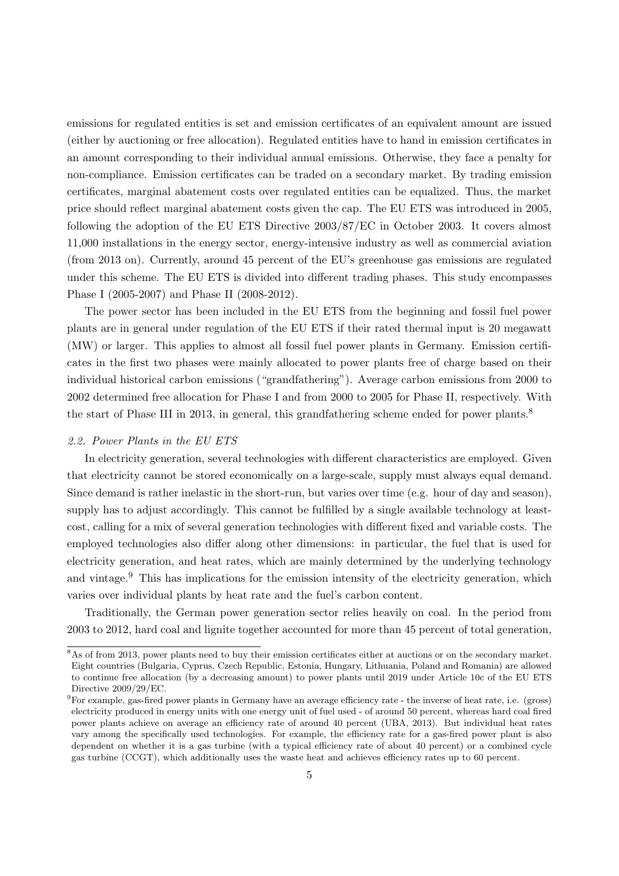emissions for regulated entities is set and emission certificates of an equivalent amount are issued (either by auctioning or free allocation). Regulated entities have to hand in emission certificates in an amount corresponding to their individual annual emissions. Otherwise, they face a penalty for non-compliance. Emission certificates can be traded on a secondary market. By trading emission certificates, marginal abatement costs over regulated entities can be equalized. Thus, the market price should reflect marginal abatement costs given the cap. The EU ETS was introduced in 2005, following the adoption of the EU ETS Directive 2003/87/EC in October 2003. It covers almost 11,000 installations in the energy sector, energy-intensive industry as well as commercial aviation (from 2013 on). Currently, around 45 percent of the EU's greenhouse gas emissions are regulated under this scheme. The EU ETS is divided into different trading phases. This study encompasses Phase I (2005-2007) and Phase II (2008-2012).

The power sector has been included in the EU ETS from the beginning and fossil fuel power plants are in general under regulation of the EU ETS if their rated thermal input is 20 megawatt (MW) or larger. This applies to almost all fossil fuel power plants in Germany. Emission certificates in the first two phases were mainly allocated to power plants free of charge based on their individual historical carbon emissions ("grandfathering"). Average carbon emissions from 2000 to 2002 determined free allocation for Phase I and from 2000 to 2005 for Phase II, respectively. With the start of Phase III in 2013, in general, this grandfathering scheme ended for power plants.<sup>[8](#page-7-0)</sup>

# 2.2. Power Plants in the EU ETS

In electricity generation, several technologies with different characteristics are employed. Given that electricity cannot be stored economically on a large-scale, supply must always equal demand. Since demand is rather inelastic in the short-run, but varies over time (e.g. hour of day and season), supply has to adjust accordingly. This cannot be fulfilled by a single available technology at leastcost, calling for a mix of several generation technologies with different fixed and variable costs. The employed technologies also differ along other dimensions: in particular, the fuel that is used for electricity generation, and heat rates, which are mainly determined by the underlying technology and vintage.<sup>[9](#page-7-1)</sup> This has implications for the emission intensity of the electricity generation, which varies over individual plants by heat rate and the fuel's carbon content.

Traditionally, the German power generation sector relies heavily on coal. In the period from 2003 to 2012, hard coal and lignite together accounted for more than 45 percent of total generation,

<span id="page-7-0"></span><sup>8</sup>As of from 2013, power plants need to buy their emission certificates either at auctions or on the secondary market. Eight countries (Bulgaria, Cyprus, Czech Republic, Estonia, Hungary, Lithuania, Poland and Romania) are allowed to continue free allocation (by a decreasing amount) to power plants until 2019 under Article 10c of the EU ETS Directive 2009/29/EC.

<span id="page-7-1"></span> $9F$  For example, gas-fired power plants in Germany have an average efficiency rate - the inverse of heat rate, i.e. (gross) electricity produced in energy units with one energy unit of fuel used - of around 50 percent, whereas hard coal fired power plants achieve on average an efficiency rate of around 40 percent [\(UBA, 2013\)](#page-34-8). But individual heat rates vary among the specifically used technologies. For example, the efficiency rate for a gas-fired power plant is also dependent on whether it is a gas turbine (with a typical efficiency rate of about 40 percent) or a combined cycle gas turbine (CCGT), which additionally uses the waste heat and achieves efficiency rates up to 60 percent.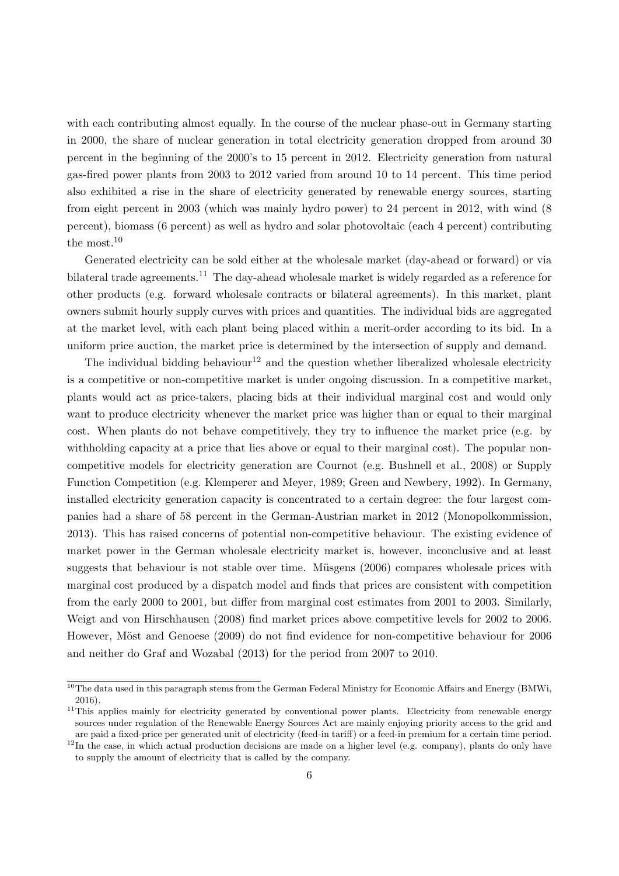with each contributing almost equally. In the course of the nuclear phase-out in Germany starting in 2000, the share of nuclear generation in total electricity generation dropped from around 30 percent in the beginning of the 2000's to 15 percent in 2012. Electricity generation from natural gas-fired power plants from 2003 to 2012 varied from around 10 to 14 percent. This time period also exhibited a rise in the share of electricity generated by renewable energy sources, starting from eight percent in 2003 (which was mainly hydro power) to 24 percent in 2012, with wind (8 percent), biomass (6 percent) as well as hydro and solar photovoltaic (each 4 percent) contributing the most.[10](#page-8-0)

Generated electricity can be sold either at the wholesale market (day-ahead or forward) or via bilateral trade agreements.<sup>[11](#page-8-1)</sup> The day-ahead wholesale market is widely regarded as a reference for other products (e.g. forward wholesale contracts or bilateral agreements). In this market, plant owners submit hourly supply curves with prices and quantities. The individual bids are aggregated at the market level, with each plant being placed within a merit-order according to its bid. In a uniform price auction, the market price is determined by the intersection of supply and demand.

The individual bidding behaviour<sup>[12](#page-8-2)</sup> and the question whether liberalized wholesale electricity is a competitive or non-competitive market is under ongoing discussion. In a competitive market, plants would act as price-takers, placing bids at their individual marginal cost and would only want to produce electricity whenever the market price was higher than or equal to their marginal cost. When plants do not behave competitively, they try to influence the market price (e.g. by withholding capacity at a price that lies above or equal to their marginal cost). The popular noncompetitive models for electricity generation are Cournot (e.g. [Bushnell et al., 2008\)](#page-32-10) or Supply Function Competition (e.g. [Klemperer and Meyer, 1989;](#page-33-15) [Green and Newbery, 1992\)](#page-33-16). In Germany, installed electricity generation capacity is concentrated to a certain degree: the four largest companies had a share of 58 percent in the German-Austrian market in 2012 [\(Monopolkommission,](#page-34-9) [2013\)](#page-34-9). This has raised concerns of potential non-competitive behaviour. The existing evidence of market power in the German wholesale electricity market is, however, inconclusive and at least suggests that behaviour is not stable over time. Müsgens  $(2006)$  compares wholesale prices with marginal cost produced by a dispatch model and finds that prices are consistent with competition from the early 2000 to 2001, but differ from marginal cost estimates from 2001 to 2003. Similarly, [Weigt and von Hirschhausen](#page-34-11) [\(2008\)](#page-34-11) find market prices above competitive levels for 2002 to 2006. However, Möst and Genoese [\(2009\)](#page-34-12) do not find evidence for non-competitive behaviour for 2006 and neither do [Graf and Wozabal](#page-33-17) [\(2013\)](#page-33-17) for the period from 2007 to 2010.

<span id="page-8-0"></span><sup>&</sup>lt;sup>10</sup>The data used in this paragraph stems from the German Federal Ministry for Economic Affairs and Energy [\(BMWi,](#page-32-11) [2016\)](#page-32-11).

<span id="page-8-1"></span> $11$ This applies mainly for electricity generated by conventional power plants. Electricity from renewable energy sources under regulation of the Renewable Energy Sources Act are mainly enjoying priority access to the grid and are paid a fixed-price per generated unit of electricity (feed-in tariff) or a feed-in premium for a certain time period.

<span id="page-8-2"></span><sup>&</sup>lt;sup>12</sup>In the case, in which actual production decisions are made on a higher level (e.g. company), plants do only have to supply the amount of electricity that is called by the company.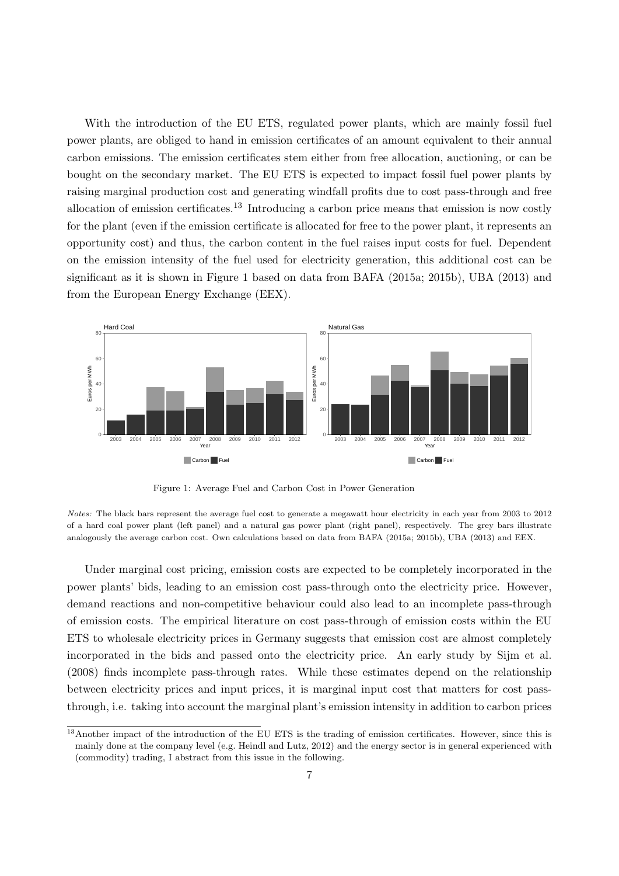With the introduction of the EU ETS, regulated power plants, which are mainly fossil fuel power plants, are obliged to hand in emission certificates of an amount equivalent to their annual carbon emissions. The emission certificates stem either from free allocation, auctioning, or can be bought on the secondary market. The EU ETS is expected to impact fossil fuel power plants by raising marginal production cost and generating windfall profits due to cost pass-through and free allocation of emission certificates.[13](#page-9-0) Introducing a carbon price means that emission is now costly for the plant (even if the emission certificate is allocated for free to the power plant, it represents an opportunity cost) and thus, the carbon content in the fuel raises input costs for fuel. Dependent on the emission intensity of the fuel used for electricity generation, this additional cost can be significant as it is shown in Figure [1](#page-9-1) based on data from BAFA [\(2015a;](#page-32-12) [2015b\)](#page-32-13), [UBA](#page-34-8) [\(2013\)](#page-34-8) and from the European Energy Exchange (EEX).

<span id="page-9-1"></span>

Figure 1: Average Fuel and Carbon Cost in Power Generation

Under marginal cost pricing, emission costs are expected to be completely incorporated in the power plants' bids, leading to an emission cost pass-through onto the electricity price. However, demand reactions and non-competitive behaviour could also lead to an incomplete pass-through of emission costs. The empirical literature on cost pass-through of emission costs within the EU ETS to wholesale electricity prices in Germany suggests that emission cost are almost completely incorporated in the bids and passed onto the electricity price. An early study by [Sijm et al.](#page-34-13) [\(2008\)](#page-34-13) finds incomplete pass-through rates. While these estimates depend on the relationship between electricity prices and input prices, it is marginal input cost that matters for cost passthrough, i.e. taking into account the marginal plant's emission intensity in addition to carbon prices

Notes: The black bars represent the average fuel cost to generate a megawatt hour electricity in each year from 2003 to 2012 of a hard coal power plant (left panel) and a natural gas power plant (right panel), respectively. The grey bars illustrate analogously the average carbon cost. Own calculations based on data from BAFA (2015a; 2015b), UBA (2013) and EEX.

<span id="page-9-0"></span> $13$ Another impact of the introduction of the EU ETS is the trading of emission certificates. However, since this is mainly done at the company level (e.g. [Heindl and Lutz, 2012\)](#page-33-18) and the energy sector is in general experienced with (commodity) trading, I abstract from this issue in the following.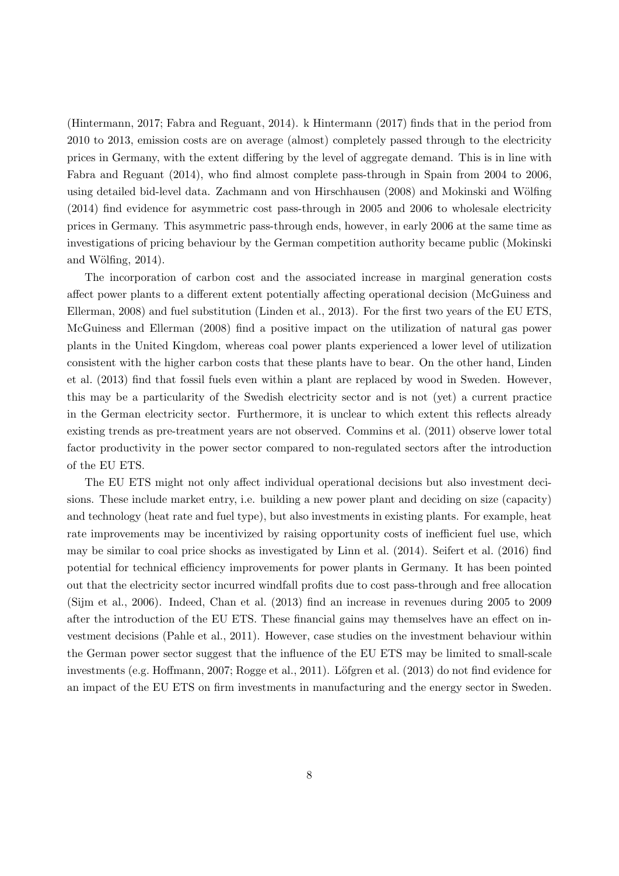[\(Hintermann, 2017;](#page-33-19) [Fabra and Reguant, 2014\)](#page-32-14). k [Hintermann](#page-33-19) [\(2017\)](#page-33-19) finds that in the period from 2010 to 2013, emission costs are on average (almost) completely passed through to the electricity prices in Germany, with the extent differing by the level of aggregate demand. This is in line with [Fabra and Reguant](#page-32-14) [\(2014\)](#page-32-14), who find almost complete pass-through in Spain from 2004 to 2006, using detailed bid-level data. [Zachmann and von Hirschhausen](#page-34-14) [\(2008\)](#page-34-14) and Mokinski and Wölfing [\(2014\)](#page-33-20) find evidence for asymmetric cost pass-through in 2005 and 2006 to wholesale electricity prices in Germany. This asymmetric pass-through ends, however, in early 2006 at the same time as investigations of pricing behaviour by the German competition authority became public [\(Mokinski](#page-33-20) and Wölfing,  $2014$ ).

The incorporation of carbon cost and the associated increase in marginal generation costs affect power plants to a different extent potentially affecting operational decision [\(McGuiness and](#page-33-7) [Ellerman, 2008\)](#page-33-7) and fuel substitution [\(Linden et al., 2013\)](#page-33-8). For the first two years of the EU ETS, [McGuiness and Ellerman](#page-33-7) [\(2008\)](#page-33-7) find a positive impact on the utilization of natural gas power plants in the United Kingdom, whereas coal power plants experienced a lower level of utilization consistent with the higher carbon costs that these plants have to bear. On the other hand, [Linden](#page-33-8) [et al.](#page-33-8) [\(2013\)](#page-33-8) find that fossil fuels even within a plant are replaced by wood in Sweden. However, this may be a particularity of the Swedish electricity sector and is not (yet) a current practice in the German electricity sector. Furthermore, it is unclear to which extent this reflects already existing trends as pre-treatment years are not observed. [Commins et al.](#page-32-9) [\(2011\)](#page-32-9) observe lower total factor productivity in the power sector compared to non-regulated sectors after the introduction of the EU ETS.

The EU ETS might not only affect individual operational decisions but also investment decisions. These include market entry, i.e. building a new power plant and deciding on size (capacity) and technology (heat rate and fuel type), but also investments in existing plants. For example, heat rate improvements may be incentivized by raising opportunity costs of inefficient fuel use, which may be similar to coal price shocks as investigated by [Linn et al.](#page-33-6) [\(2014\)](#page-33-6). [Seifert et al.](#page-34-15) [\(2016\)](#page-34-15) find potential for technical efficiency improvements for power plants in Germany. It has been pointed out that the electricity sector incurred windfall profits due to cost pass-through and free allocation [\(Sijm et al., 2006\)](#page-34-4). Indeed, [Chan et al.](#page-32-7) [\(2013\)](#page-32-7) find an increase in revenues during 2005 to 2009 after the introduction of the EU ETS. These financial gains may themselves have an effect on investment decisions [\(Pahle et al., 2011\)](#page-34-5). However, case studies on the investment behaviour within the German power sector suggest that the influence of the EU ETS may be limited to small-scale investments (e.g. [Hoffmann, 2007;](#page-33-2) [Rogge et al., 2011\)](#page-34-1). Löfgren et al. [\(2013\)](#page-33-11) do not find evidence for an impact of the EU ETS on firm investments in manufacturing and the energy sector in Sweden.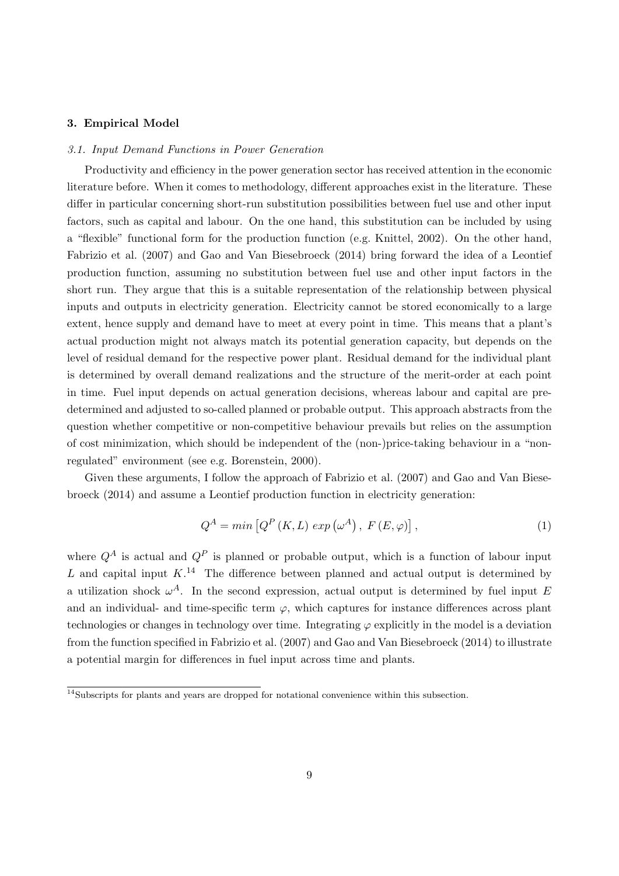# <span id="page-11-0"></span>3. Empirical Model

#### 3.1. Input Demand Functions in Power Generation

Productivity and efficiency in the power generation sector has received attention in the economic literature before. When it comes to methodology, different approaches exist in the literature. These differ in particular concerning short-run substitution possibilities between fuel use and other input factors, such as capital and labour. On the one hand, this substitution can be included by using a "flexible" functional form for the production function (e.g. [Knittel, 2002\)](#page-33-5). On the other hand, [Fabrizio et al.](#page-32-0) [\(2007\)](#page-32-0) and [Gao and Van Biesebroeck](#page-32-1) [\(2014\)](#page-32-1) bring forward the idea of a Leontief production function, assuming no substitution between fuel use and other input factors in the short run. They argue that this is a suitable representation of the relationship between physical inputs and outputs in electricity generation. Electricity cannot be stored economically to a large extent, hence supply and demand have to meet at every point in time. This means that a plant's actual production might not always match its potential generation capacity, but depends on the level of residual demand for the respective power plant. Residual demand for the individual plant is determined by overall demand realizations and the structure of the merit-order at each point in time. Fuel input depends on actual generation decisions, whereas labour and capital are predetermined and adjusted to so-called planned or probable output. This approach abstracts from the question whether competitive or non-competitive behaviour prevails but relies on the assumption of cost minimization, which should be independent of the (non-)price-taking behaviour in a "nonregulated" environment (see e.g. [Borenstein, 2000\)](#page-32-15).

Given these arguments, I follow the approach of [Fabrizio et al.](#page-32-0) [\(2007\)](#page-32-0) and [Gao and Van Biese](#page-32-1)[broeck](#page-32-1) [\(2014\)](#page-32-1) and assume a Leontief production function in electricity generation:

<span id="page-11-2"></span>
$$
Q^{A} = min\left[Q^{P}\left(K, L\right) \exp\left(\omega^{A}\right), F\left(E, \varphi\right)\right],\tag{1}
$$

where  $Q^A$  is actual and  $Q^P$  is planned or probable output, which is a function of labour input L and capital input  $K^{14}$  $K^{14}$  $K^{14}$ . The difference between planned and actual output is determined by a utilization shock  $\omega^A$ . In the second expression, actual output is determined by fuel input E and an individual- and time-specific term  $\varphi$ , which captures for instance differences across plant technologies or changes in technology over time. Integrating  $\varphi$  explicitly in the model is a deviation from the function specified in [Fabrizio et al.](#page-32-0) [\(2007\)](#page-32-0) and [Gao and Van Biesebroeck](#page-32-1) [\(2014\)](#page-32-1) to illustrate a potential margin for differences in fuel input across time and plants.

<span id="page-11-1"></span> $\frac{14}{14}$ Subscripts for plants and years are dropped for notational convenience within this subsection.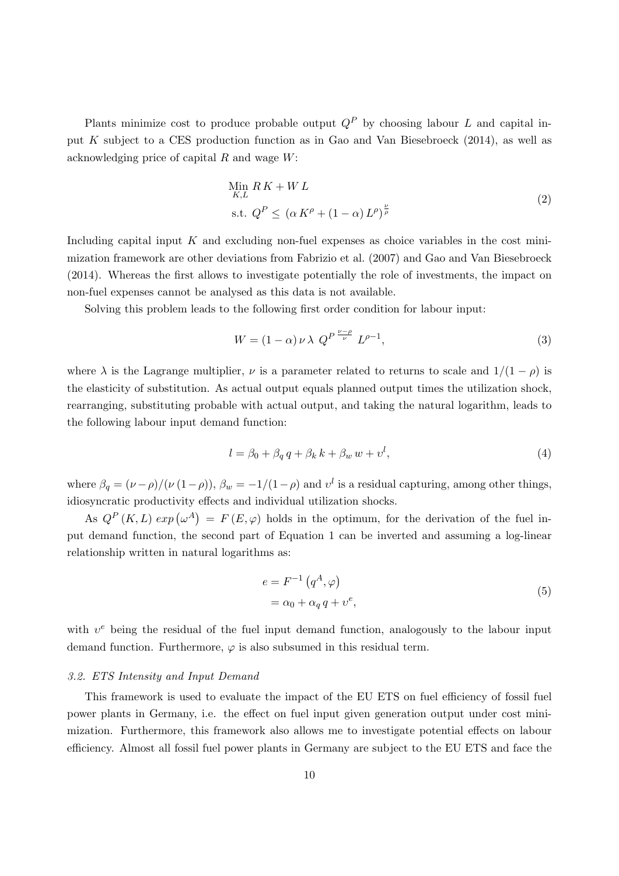Plants minimize cost to produce probable output  $Q^P$  by choosing labour L and capital input K subject to a CES production function as in [Gao and Van Biesebroeck](#page-32-1) [\(2014\)](#page-32-1), as well as acknowledging price of capital R and wage W:

$$
\begin{aligned} &\lim_{K,L} R\,K + W\,L\\ &\text{s.t. } Q^P \leq \left(\alpha \,K^\rho + (1 - \alpha) \,L^\rho\right)^{\frac{\nu}{\rho}} \end{aligned} \tag{2}
$$

Including capital input  $K$  and excluding non-fuel expenses as choice variables in the cost minimization framework are other deviations from [Fabrizio et al.](#page-32-0) [\(2007\)](#page-32-0) and [Gao and Van Biesebroeck](#page-32-1) [\(2014\)](#page-32-1). Whereas the first allows to investigate potentially the role of investments, the impact on non-fuel expenses cannot be analysed as this data is not available.

Solving this problem leads to the following first order condition for labour input:

$$
W = (1 - \alpha) \nu \lambda \ Q^{P \frac{\nu - \rho}{\nu}} L^{\rho - 1}, \tag{3}
$$

where  $\lambda$  is the Lagrange multiplier,  $\nu$  is a parameter related to returns to scale and  $1/(1 - \rho)$  is the elasticity of substitution. As actual output equals planned output times the utilization shock, rearranging, substituting probable with actual output, and taking the natural logarithm, leads to the following labour input demand function:

$$
l = \beta_0 + \beta_q q + \beta_k k + \beta_w w + v^l,
$$
\n<sup>(4)</sup>

where  $\beta_q = (\nu - \rho)/(\nu (1 - \rho)), \beta_w = -1/(1 - \rho)$  and  $v^l$  is a residual capturing, among other things, idiosyncratic productivity effects and individual utilization shocks.

As  $Q^P(K, L)$  exp $(\omega^A) = F(E, \varphi)$  holds in the optimum, for the derivation of the fuel input demand function, the second part of Equation [1](#page-11-2) can be inverted and assuming a log-linear relationship written in natural logarithms as:

$$
e = F^{-1} (q^A, \varphi)
$$
  
=  $\alpha_0 + \alpha_q q + v^e,$  (5)

with  $v^e$  being the residual of the fuel input demand function, analogously to the labour input demand function. Furthermore,  $\varphi$  is also subsumed in this residual term.

#### 3.2. ETS Intensity and Input Demand

This framework is used to evaluate the impact of the EU ETS on fuel efficiency of fossil fuel power plants in Germany, i.e. the effect on fuel input given generation output under cost minimization. Furthermore, this framework also allows me to investigate potential effects on labour efficiency. Almost all fossil fuel power plants in Germany are subject to the EU ETS and face the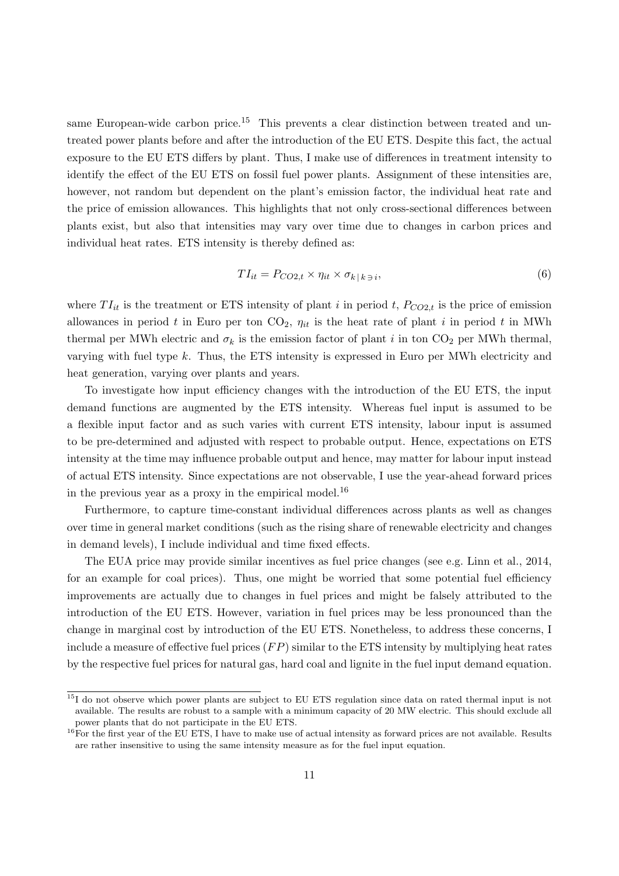same European-wide carbon price.<sup>[15](#page-13-0)</sup> This prevents a clear distinction between treated and untreated power plants before and after the introduction of the EU ETS. Despite this fact, the actual exposure to the EU ETS differs by plant. Thus, I make use of differences in treatment intensity to identify the effect of the EU ETS on fossil fuel power plants. Assignment of these intensities are, however, not random but dependent on the plant's emission factor, the individual heat rate and the price of emission allowances. This highlights that not only cross-sectional differences between plants exist, but also that intensities may vary over time due to changes in carbon prices and individual heat rates. ETS intensity is thereby defined as:

$$
TI_{it} = P_{CO2,t} \times \eta_{it} \times \sigma_{k|k} \quad (6)
$$

where  $TI_{it}$  is the treatment or ETS intensity of plant i in period t,  $P_{CO2,t}$  is the price of emission allowances in period t in Euro per ton  $CO<sub>2</sub>$ ,  $\eta_{it}$  is the heat rate of plant i in period t in MWh thermal per MWh electric and  $\sigma_k$  is the emission factor of plant i in ton CO<sub>2</sub> per MWh thermal, varying with fuel type  $k$ . Thus, the ETS intensity is expressed in Euro per MWh electricity and heat generation, varying over plants and years.

To investigate how input efficiency changes with the introduction of the EU ETS, the input demand functions are augmented by the ETS intensity. Whereas fuel input is assumed to be a flexible input factor and as such varies with current ETS intensity, labour input is assumed to be pre-determined and adjusted with respect to probable output. Hence, expectations on ETS intensity at the time may influence probable output and hence, may matter for labour input instead of actual ETS intensity. Since expectations are not observable, I use the year-ahead forward prices in the previous year as a proxy in the empirical model.[16](#page-13-1)

Furthermore, to capture time-constant individual differences across plants as well as changes over time in general market conditions (such as the rising share of renewable electricity and changes in demand levels), I include individual and time fixed effects.

The EUA price may provide similar incentives as fuel price changes (see e.g. [Linn et al., 2014,](#page-33-6) for an example for coal prices). Thus, one might be worried that some potential fuel efficiency improvements are actually due to changes in fuel prices and might be falsely attributed to the introduction of the EU ETS. However, variation in fuel prices may be less pronounced than the change in marginal cost by introduction of the EU ETS. Nonetheless, to address these concerns, I include a measure of effective fuel prices  $(FP)$  similar to the ETS intensity by multiplying heat rates by the respective fuel prices for natural gas, hard coal and lignite in the fuel input demand equation.

<span id="page-13-0"></span><sup>15</sup>I do not observe which power plants are subject to EU ETS regulation since data on rated thermal input is not available. The results are robust to a sample with a minimum capacity of 20 MW electric. This should exclude all power plants that do not participate in the EU ETS.

<span id="page-13-1"></span> $^{16}$  For the first year of the EU ETS, I have to make use of actual intensity as forward prices are not available. Results are rather insensitive to using the same intensity measure as for the fuel input equation.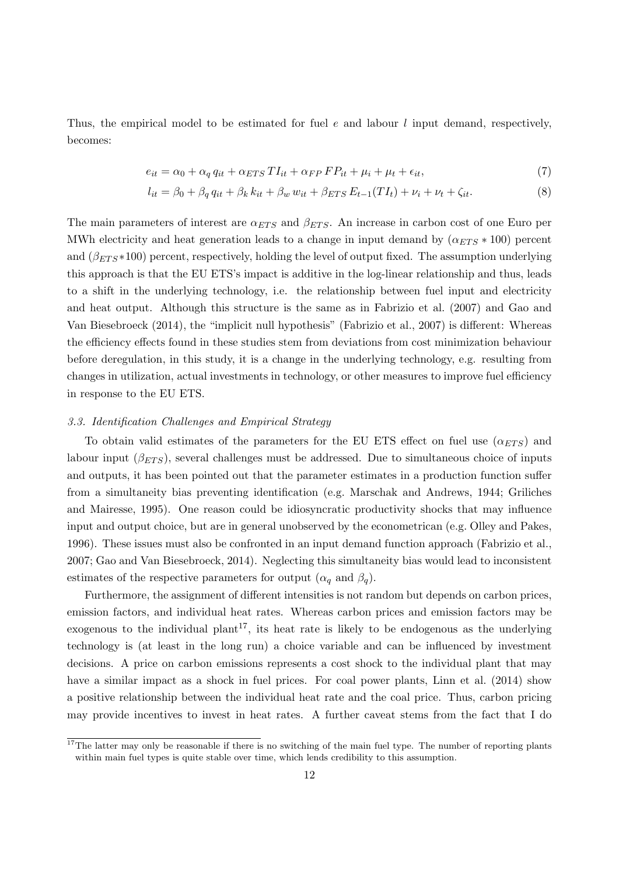Thus, the empirical model to be estimated for fuel e and labour  $l$  input demand, respectively, becomes:

$$
e_{it} = \alpha_0 + \alpha_q q_{it} + \alpha_{ETS} T I_{it} + \alpha_{FP} FP_{it} + \mu_i + \mu_t + \epsilon_{it}, \tag{7}
$$

<span id="page-14-3"></span><span id="page-14-2"></span>
$$
l_{it} = \beta_0 + \beta_q q_{it} + \beta_k k_{it} + \beta_w w_{it} + \beta_{ETS} E_{t-1}(TI_t) + \nu_i + \nu_t + \zeta_{it}.
$$
 (8)

The main parameters of interest are  $\alpha_{ETS}$  and  $\beta_{ETS}$ . An increase in carbon cost of one Euro per MWh electricity and heat generation leads to a change in input demand by  $(\alpha_{ETS} * 100)$  percent and  $(\beta_{ETS} * 100)$  percent, respectively, holding the level of output fixed. The assumption underlying this approach is that the EU ETS's impact is additive in the log-linear relationship and thus, leads to a shift in the underlying technology, i.e. the relationship between fuel input and electricity and heat output. Although this structure is the same as in [Fabrizio et al.](#page-32-0) [\(2007\)](#page-32-0) and [Gao and](#page-32-1) [Van Biesebroeck](#page-32-1) [\(2014\)](#page-32-1), the "implicit null hypothesis" [\(Fabrizio et al., 2007\)](#page-32-0) is different: Whereas the efficiency effects found in these studies stem from deviations from cost minimization behaviour before deregulation, in this study, it is a change in the underlying technology, e.g. resulting from changes in utilization, actual investments in technology, or other measures to improve fuel efficiency in response to the EU ETS.

#### <span id="page-14-1"></span>3.3. Identification Challenges and Empirical Strategy

To obtain valid estimates of the parameters for the EU ETS effect on fuel use  $(\alpha_{ETS})$  and labour input  $(\beta_{ETS})$ , several challenges must be addressed. Due to simultaneous choice of inputs and outputs, it has been pointed out that the parameter estimates in a production function suffer from a simultaneity bias preventing identification (e.g. [Marschak and Andrews, 1944;](#page-33-3) [Griliches](#page-33-4) [and Mairesse, 1995\)](#page-33-4). One reason could be idiosyncratic productivity shocks that may influence input and output choice, but are in general unobserved by the econometrican (e.g. [Olley and Pakes,](#page-34-2) [1996\)](#page-34-2). These issues must also be confronted in an input demand function approach [\(Fabrizio et al.,](#page-32-0) [2007;](#page-32-0) [Gao and Van Biesebroeck, 2014\)](#page-32-1). Neglecting this simultaneity bias would lead to inconsistent estimates of the respective parameters for output  $(\alpha_q \text{ and } \beta_q)$ .

Furthermore, the assignment of different intensities is not random but depends on carbon prices, emission factors, and individual heat rates. Whereas carbon prices and emission factors may be exogenous to the individual plant<sup>[17](#page-14-0)</sup>, its heat rate is likely to be endogenous as the underlying technology is (at least in the long run) a choice variable and can be influenced by investment decisions. A price on carbon emissions represents a cost shock to the individual plant that may have a similar impact as a shock in fuel prices. For coal power plants, [Linn et al.](#page-33-6) [\(2014\)](#page-33-6) show a positive relationship between the individual heat rate and the coal price. Thus, carbon pricing may provide incentives to invest in heat rates. A further caveat stems from the fact that I do

<span id="page-14-0"></span> $17$ The latter may only be reasonable if there is no switching of the main fuel type. The number of reporting plants within main fuel types is quite stable over time, which lends credibility to this assumption.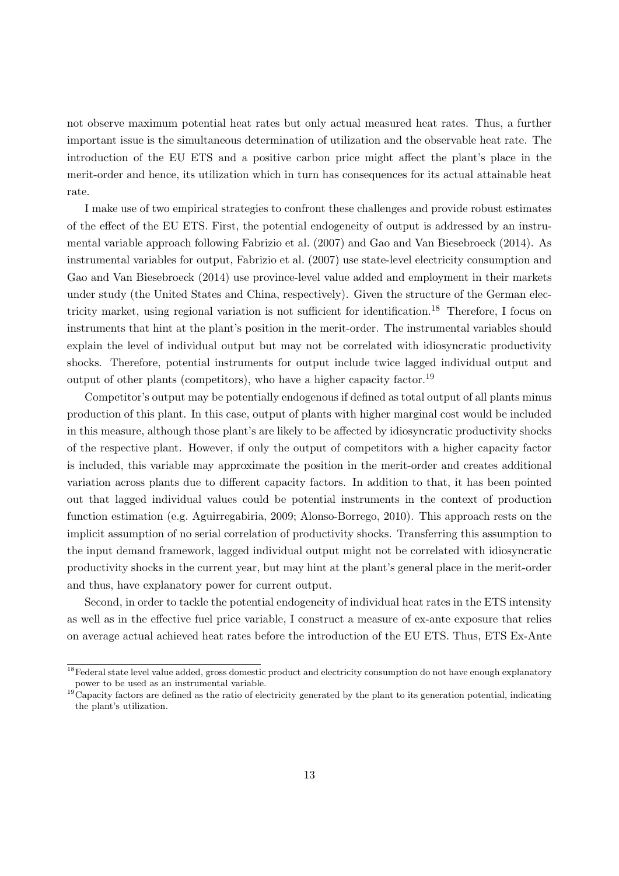not observe maximum potential heat rates but only actual measured heat rates. Thus, a further important issue is the simultaneous determination of utilization and the observable heat rate. The introduction of the EU ETS and a positive carbon price might affect the plant's place in the merit-order and hence, its utilization which in turn has consequences for its actual attainable heat rate.

I make use of two empirical strategies to confront these challenges and provide robust estimates of the effect of the EU ETS. First, the potential endogeneity of output is addressed by an instrumental variable approach following [Fabrizio et al.](#page-32-0) [\(2007\)](#page-32-0) and [Gao and Van Biesebroeck](#page-32-1) [\(2014\)](#page-32-1). As instrumental variables for output, [Fabrizio et al.](#page-32-0) [\(2007\)](#page-32-0) use state-level electricity consumption and [Gao and Van Biesebroeck](#page-32-1) [\(2014\)](#page-32-1) use province-level value added and employment in their markets under study (the United States and China, respectively). Given the structure of the German elec-tricity market, using regional variation is not sufficient for identification.<sup>[18](#page-15-0)</sup> Therefore, I focus on instruments that hint at the plant's position in the merit-order. The instrumental variables should explain the level of individual output but may not be correlated with idiosyncratic productivity shocks. Therefore, potential instruments for output include twice lagged individual output and output of other plants (competitors), who have a higher capacity factor.[19](#page-15-1)

Competitor's output may be potentially endogenous if defined as total output of all plants minus production of this plant. In this case, output of plants with higher marginal cost would be included in this measure, although those plant's are likely to be affected by idiosyncratic productivity shocks of the respective plant. However, if only the output of competitors with a higher capacity factor is included, this variable may approximate the position in the merit-order and creates additional variation across plants due to different capacity factors. In addition to that, it has been pointed out that lagged individual values could be potential instruments in the context of production function estimation (e.g. [Aguirregabiria, 2009;](#page-32-16) [Alonso-Borrego, 2010\)](#page-32-17). This approach rests on the implicit assumption of no serial correlation of productivity shocks. Transferring this assumption to the input demand framework, lagged individual output might not be correlated with idiosyncratic productivity shocks in the current year, but may hint at the plant's general place in the merit-order and thus, have explanatory power for current output.

Second, in order to tackle the potential endogeneity of individual heat rates in the ETS intensity as well as in the effective fuel price variable, I construct a measure of ex-ante exposure that relies on average actual achieved heat rates before the introduction of the EU ETS. Thus, ETS Ex-Ante

<span id="page-15-0"></span> $18$ Federal state level value added, gross domestic product and electricity consumption do not have enough explanatory power to be used as an instrumental variable.

<span id="page-15-1"></span> $19^{\circ}$ Capacity factors are defined as the ratio of electricity generated by the plant to its generation potential, indicating the plant's utilization.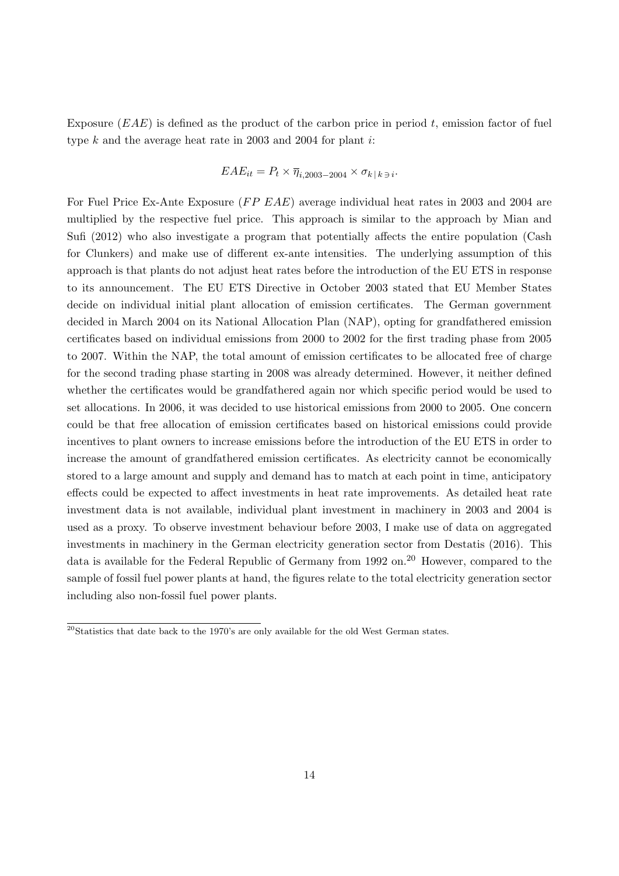Exposure  $(EAE)$  is defined as the product of the carbon price in period t, emission factor of fuel type  $k$  and the average heat rate in 2003 and 2004 for plant  $i$ :

$$
EAE_{it} = P_t \times \overline{\eta}_{i,2003-2004} \times \sigma_{k|k} \, \overline{\eta}_{i}
$$

For Fuel Price Ex-Ante Exposure (FP EAE) average individual heat rates in 2003 and 2004 are multiplied by the respective fuel price. This approach is similar to the approach by [Mian and](#page-33-10) [Sufi](#page-33-10) [\(2012\)](#page-33-10) who also investigate a program that potentially affects the entire population (Cash for Clunkers) and make use of different ex-ante intensities. The underlying assumption of this approach is that plants do not adjust heat rates before the introduction of the EU ETS in response to its announcement. The EU ETS Directive in October 2003 stated that EU Member States decide on individual initial plant allocation of emission certificates. The German government decided in March 2004 on its National Allocation Plan (NAP), opting for grandfathered emission certificates based on individual emissions from 2000 to 2002 for the first trading phase from 2005 to 2007. Within the NAP, the total amount of emission certificates to be allocated free of charge for the second trading phase starting in 2008 was already determined. However, it neither defined whether the certificates would be grandfathered again nor which specific period would be used to set allocations. In 2006, it was decided to use historical emissions from 2000 to 2005. One concern could be that free allocation of emission certificates based on historical emissions could provide incentives to plant owners to increase emissions before the introduction of the EU ETS in order to increase the amount of grandfathered emission certificates. As electricity cannot be economically stored to a large amount and supply and demand has to match at each point in time, anticipatory effects could be expected to affect investments in heat rate improvements. As detailed heat rate investment data is not available, individual plant investment in machinery in 2003 and 2004 is used as a proxy. To observe investment behaviour before 2003, I make use of data on aggregated investments in machinery in the German electricity generation sector from [Destatis](#page-32-18) [\(2016\)](#page-32-18). This data is available for the Federal Republic of Germany from 1992 on.<sup>[20](#page-16-0)</sup> However, compared to the sample of fossil fuel power plants at hand, the figures relate to the total electricity generation sector including also non-fossil fuel power plants.

<span id="page-16-0"></span> $20$ Statistics that date back to the 1970's are only available for the old West German states.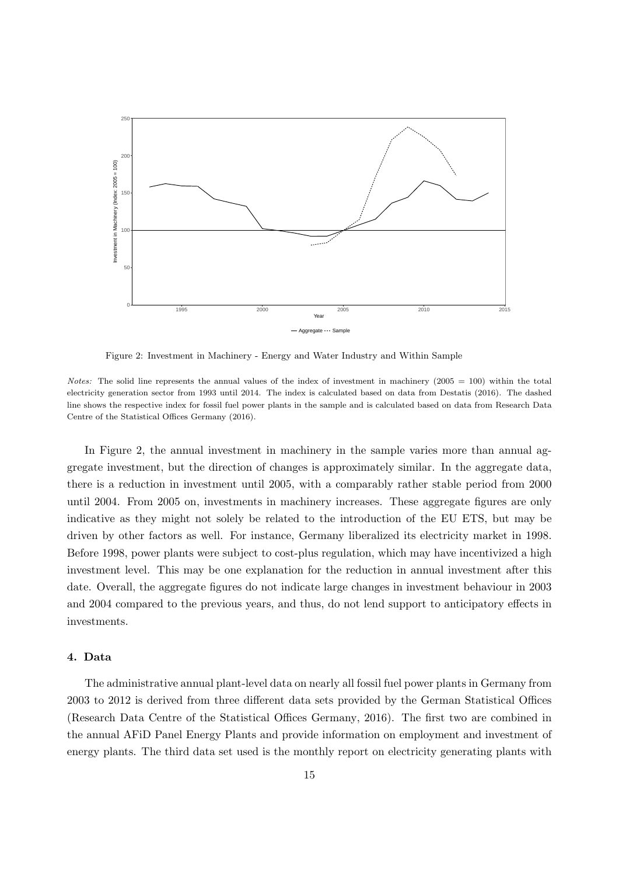<span id="page-17-1"></span>

Figure 2: Investment in Machinery - Energy and Water Industry and Within Sample

Notes: The solid line represents the annual values of the index of investment in machinery  $(2005 = 100)$  within the total electricity generation sector from 1993 until 2014. The index is calculated based on data from Destatis (2016). The dashed line shows the respective index for fossil fuel power plants in the sample and is calculated based on data from Research Data Centre of the Statistical Offices Germany (2016).

In Figure [2,](#page-17-1) the annual investment in machinery in the sample varies more than annual aggregate investment, but the direction of changes is approximately similar. In the aggregate data, there is a reduction in investment until 2005, with a comparably rather stable period from 2000 until 2004. From 2005 on, investments in machinery increases. These aggregate figures are only indicative as they might not solely be related to the introduction of the EU ETS, but may be driven by other factors as well. For instance, Germany liberalized its electricity market in 1998. Before 1998, power plants were subject to cost-plus regulation, which may have incentivized a high investment level. This may be one explanation for the reduction in annual investment after this date. Overall, the aggregate figures do not indicate large changes in investment behaviour in 2003 and 2004 compared to the previous years, and thus, do not lend support to anticipatory effects in investments.

# <span id="page-17-0"></span>4. Data

The administrative annual plant-level data on nearly all fossil fuel power plants in Germany from 2003 to 2012 is derived from three different data sets provided by the German Statistical Offices [\(Research Data Centre of the Statistical Offices Germany, 2016\)](#page-34-0). The first two are combined in the annual AFiD Panel Energy Plants and provide information on employment and investment of energy plants. The third data set used is the monthly report on electricity generating plants with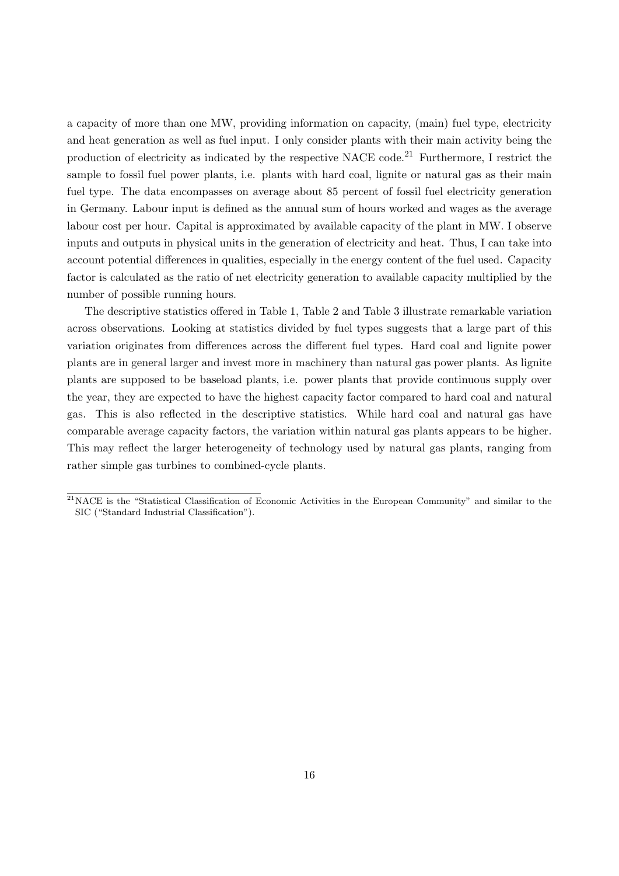a capacity of more than one MW, providing information on capacity, (main) fuel type, electricity and heat generation as well as fuel input. I only consider plants with their main activity being the production of electricity as indicated by the respective NACE code.[21](#page-18-0) Furthermore, I restrict the sample to fossil fuel power plants, i.e. plants with hard coal, lignite or natural gas as their main fuel type. The data encompasses on average about 85 percent of fossil fuel electricity generation in Germany. Labour input is defined as the annual sum of hours worked and wages as the average labour cost per hour. Capital is approximated by available capacity of the plant in MW. I observe inputs and outputs in physical units in the generation of electricity and heat. Thus, I can take into account potential differences in qualities, especially in the energy content of the fuel used. Capacity factor is calculated as the ratio of net electricity generation to available capacity multiplied by the number of possible running hours.

The descriptive statistics offered in Table [1,](#page-19-0) Table [2](#page-20-0) and Table [3](#page-21-0) illustrate remarkable variation across observations. Looking at statistics divided by fuel types suggests that a large part of this variation originates from differences across the different fuel types. Hard coal and lignite power plants are in general larger and invest more in machinery than natural gas power plants. As lignite plants are supposed to be baseload plants, i.e. power plants that provide continuous supply over the year, they are expected to have the highest capacity factor compared to hard coal and natural gas. This is also reflected in the descriptive statistics. While hard coal and natural gas have comparable average capacity factors, the variation within natural gas plants appears to be higher. This may reflect the larger heterogeneity of technology used by natural gas plants, ranging from rather simple gas turbines to combined-cycle plants.

<span id="page-18-0"></span><sup>21</sup>NACE is the "Statistical Classification of Economic Activities in the European Community" and similar to the SIC ("Standard Industrial Classification").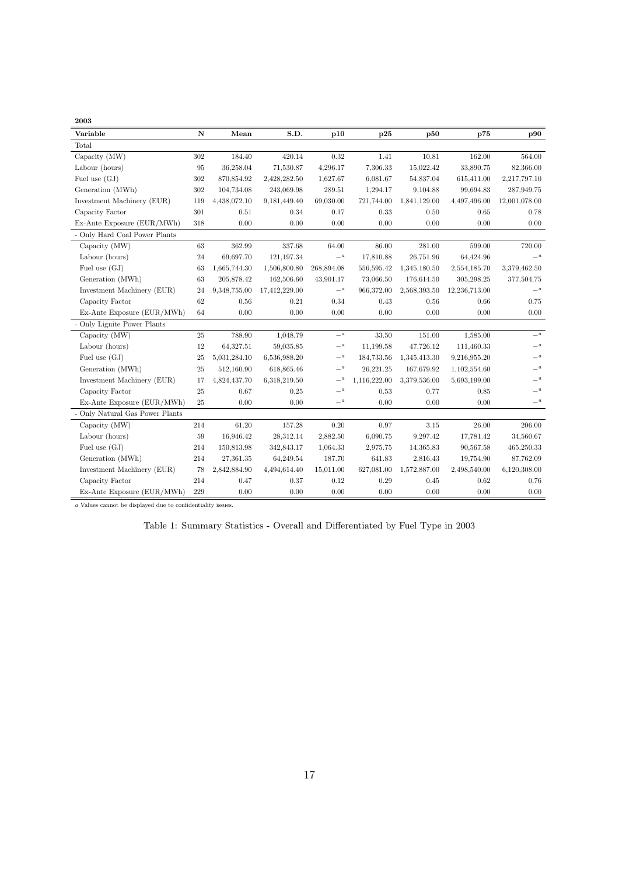<span id="page-19-0"></span>2003

| Variable                      | $\mathbf N$ | Mean         | S.D.          | p10              | p25          | p50          | p75           | p90              |
|-------------------------------|-------------|--------------|---------------|------------------|--------------|--------------|---------------|------------------|
| Total                         |             |              |               |                  |              |              |               |                  |
| Capacity (MW)                 | 302         | 184.40       | 420.14        | 0.32             | 1.41         | 10.81        | 162.00        | 564.00           |
| Labour (hours)                | 95          | 36,258.04    | 71,530.87     | 4,296.17         | 7,306.33     | 15,022.42    | 33,890.75     | 82,366.00        |
| Fuel use $(GJ)$               | 302         | 870,854.92   | 2,428,282.50  | 1,627.67         | 6,081.67     | 54,837.04    | 615,411.00    | 2,217,797.10     |
| Generation (MWh)              | 302         | 104,734.08   | 243,069.98    | 289.51           | 1,294.17     | 9,104.88     | 99,694.83     | 287,949.75       |
| Investment Machinery (EUR)    | 119         | 4,438,072.10 | 9,181,449.40  | 69,030.00        | 721,744.00   | 1,841,129.00 | 4,497,496.00  | 12,001,078.00    |
| Capacity Factor               | 301         | 0.51         | 0.34          | 0.17             | 0.33         | 0.50         | 0.65          | 0.78             |
| Ex-Ante Exposure (EUR/MWh)    | 318         | 0.00         | 0.00          | 0.00             | 0.00         | 0.00         | 0.00          | 0.00             |
| - Only Hard Coal Power Plants |             |              |               |                  |              |              |               |                  |
| Capacity (MW)                 | $63\,$      | 362.99       | 337.68        | 64.00            | 86.00        | 281.00       | 599.00        | 720.00           |
| Labour (hours)                | 24          | 69,697.70    | 121,197.34    | $- \,{}^a$       | 17,810.88    | 26,751.96    | 64,424.96     | $- \,{}^a$       |
| Fuel use $(GJ)$               | 63          | 1,665,744.30 | 1,506,800.80  | 268,894.08       | 556,595.42   | 1,345,180.50 | 2,554,185.70  | 3,379,462.50     |
| Generation (MWh)              | 63          | 205,878.42   | 162,506.60    | 43,901.17        | 73,066.50    | 176,614.50   | 305,298.25    | 377,504.75       |
| Investment Machinery (EUR)    | 24          | 9,348,755.00 | 17,412,229.00 | $-^{\,a}$        | 966,372.00   | 2,568,393.50 | 12,236,713.00 | $\_a$            |
| Capacity Factor               | 62          | 0.56         | 0.21          | 0.34             | 0.43         | 0.56         | 0.66          | 0.75             |
| Ex-Ante Exposure (EUR/MWh)    | 64          | 0.00         | 0.00          | 0.00             | 0.00         | 0.00         | 0.00          | 0.00             |
| Only Lignite Power Plants     |             |              |               |                  |              |              |               |                  |
| Capacity (MW)                 | $25\,$      | 788.90       | 1,048.79      | $-{}^a$          | 33.50        | 151.00       | 1,585.00      | $\_a$            |
| Labour (hours)                | $12\,$      | 64,327.51    | 59,035.85     | $- \,{}^a$       | 11,199.58    | 47,726.12    | 111,460.33    | $-$ <sup>a</sup> |
| Fuel use $(GJ)$               | 25          | 5,031,284.10 | 6,536,988.20  | $- \,{}^a$       | 184,733.56   | 1,345,413.30 | 9,216,955.20  | $- \,{}^a$       |
| Generation (MWh)              | 25          | 512,160.90   | 618,865.46    | $-$ <sup>a</sup> | 26,221.25    | 167,679.92   | 1,102,554.60  | $- \strut^a$     |
| Investment Machinery (EUR)    | 17          | 4,824,437.70 | 6,318,219.50  | $- \,{}^a$       | 1,116,222.00 | 3,379,536.00 | 5,693,199.00  | $-$ <sup>a</sup> |
| Capacity Factor               | $25\,$      | 0.67         | 0.25          | $- \,{}^a$       | 0.53         | 0.77         | 0.85          | $- \,{}^a$       |
| Ex-Ante Exposure (EUR/MWh)    | 25          | 0.00         | 0.00          | $- \,{}^a$       | 0.00         | 0.00         | 0.00          | $-$ <sup>a</sup> |
| Only Natural Gas Power Plants |             |              |               |                  |              |              |               |                  |
| Capacity (MW)                 | 214         | 61.20        | 157.28        | $0.20\,$         | 0.97         | 3.15         | 26.00         | $206.00\,$       |
| Labour (hours)                | 59          | 16,946.42    | 28,312.14     | 2,882.50         | 6,090.75     | 9,297.42     | 17,781.42     | 34,560.67        |
| Fuel use $(GJ)$               | 214         | 150,813.98   | 342,843.17    | 1,064.33         | 2,975.75     | 14,365.83    | 90,567.58     | 465,250.33       |
| Generation (MWh)              | 214         | 27,361.35    | 64,249.54     | 187.70           | 641.83       | 2,816.43     | 19,754.90     | 87,762.09        |
| Investment Machinery (EUR)    | 78          | 2,842,884.90 | 4,494,614.40  | 15,011.00        | 627,081.00   | 1,572,887.00 | 2,498,540.00  | 6,120,308.00     |
| Capacity Factor               | 214         | 0.47         | 0.37          | $0.12\,$         | 0.29         | 0.45         | 0.62          | 0.76             |
| Ex-Ante Exposure (EUR/MWh)    | 229         | 0.00         | $0.00\,$      | $0.00\,$         | 0.00         | 0.00         | 0.00          | 0.00             |

 $\bar{a}$  Values cannot be displayed due to confidentiality issues.

Table 1: Summary Statistics - Overall and Differentiated by Fuel Type in 2003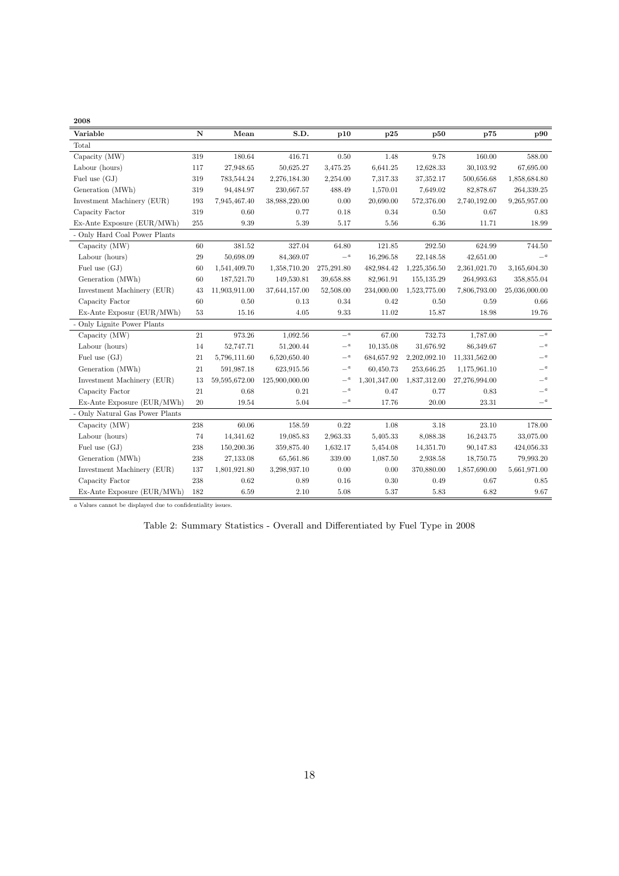<span id="page-20-0"></span>

| 2008     |  |
|----------|--|
| Variable |  |
| ጡአፊልተ    |  |

| Variable                        | N         | Mean          | S.D.           | p10              | p25          | p50          | p75           | p90           |
|---------------------------------|-----------|---------------|----------------|------------------|--------------|--------------|---------------|---------------|
| Total                           |           |               |                |                  |              |              |               |               |
| Capacity (MW)                   | 319       | 180.64        | 416.71         | 0.50             | 1.48         | 9.78         | 160.00        | 588.00        |
| Labour (hours)                  | 117       | 27,948.65     | 50,625.27      | 3,475.25         | 6,641.25     | 12,628.33    | 30,103.92     | 67,695.00     |
| Fuel use (GJ)                   | 319       | 783,544.24    | 2,276,184.30   | 2,254.00         | 7.317.33     | 37,352.17    | 500,656.68    | 1,858,684.80  |
| Generation (MWh)                | 319       | 94,484.97     | 230,667.57     | 488.49           | 1,570.01     | 7,649.02     | 82,878.67     | 264,339.25    |
| Investment Machinery (EUR)      | 193       | 7,945,467.40  | 38,988,220.00  | 0.00             | 20,690.00    | 572,376.00   | 2,740,192.00  | 9,265,957.00  |
| Capacity Factor                 | 319       | 0.60          | 0.77           | 0.18             | 0.34         | 0.50         | 0.67          | 0.83          |
| Ex-Ante Exposure (EUR/MWh)      | 255       | 9.39          | 5.39           | 5.17             | 5.56         | 6.36         | 11.71         | 18.99         |
| - Only Hard Coal Power Plants   |           |               |                |                  |              |              |               |               |
| Capacity (MW)                   | 60        | 381.52        | 327.04         | 64.80            | 121.85       | 292.50       | 624.99        | 744.50        |
| Labour (hours)                  | 29        | 50,698.09     | 84,369.07      | $-^{\,a}$        | 16,296.58    | 22,148.58    | 42,651.00     | $\equiv$ a    |
| Fuel use $(GJ)$                 | 60        | 1,541,409.70  | 1,358,710.20   | 275,291.80       | 482,984.42   | 1,225,356.50 | 2,361,021.70  | 3,165,604.30  |
| Generation (MWh)                | 60        | 187,521.70    | 149,530.81     | 39,658.88        | 82,961.91    | 155,135.29   | 264,993.63    | 358,855.04    |
| Investment Machinery (EUR)      | 43        | 11,903,911.00 | 37,644,157.00  | 52,508.00        | 234,000.00   | 1,523,775.00 | 7,806,793.00  | 25,036,000.00 |
| Capacity Factor                 | 60        | 0.50          | $0.13\,$       | 0.34             | 0.42         | 0.50         | 0.59          | 0.66          |
| Ex-Ante Exposur (EUR/MWh)       | 53        | 15.16         | 4.05           | 9.33             | 11.02        | 15.87        | 18.98         | 19.76         |
| - Only Lignite Power Plants     |           |               |                |                  |              |              |               |               |
| Capacity (MW)                   | 21        | 973.26        | 1,092.56       | $-^{\,a}$        | 67.00        | 732.73       | 1,787.00      | $\mathbf{a}$  |
| Labour (hours)                  | 14        | 52,747.71     | 51,200.44      | $- \,{}^a$       | 10,135.08    | 31,676.92    | 86,349.67     | $- \,{}^a$    |
| Fuel use $(GJ)$                 | 21        | 5,796,111.60  | 6,520,650.40   | $-$ <sup>a</sup> | 684,657.92   | 2,202,092.10 | 11,331,562.00 | $- \real^a$   |
| Generation (MWh)                | 21        | 591,987.18    | 623,915.56     | $- \,{}^a$       | 60,450.73    | 253,646.25   | 1,175,961.10  | $-^{\,a}$     |
| Investment Machinery (EUR)      | 13        | 59,595,672.00 | 125,900,000.00 | $-$ <sup>a</sup> | 1,301,347.00 | 1,837,312.00 | 27,276,994.00 | $- \,{}^a$    |
| Capacity Factor                 | 21        | 0.68          | $\rm 0.21$     | $-^{\,a}$        | 0.47         | 0.77         | 0.83          | $\equiv$ a    |
| Ex-Ante Exposure (EUR/MWh)      | 20        | 19.54         | 5.04           | $\mathbf{a}$     | 17.76        | 20.00        | 23.31         | $\equiv$ a    |
| - Only Natural Gas Power Plants |           |               |                |                  |              |              |               |               |
| Capacity (MW)                   | $\bf 238$ | 60.06         | 158.59         | $\rm 0.22$       | 1.08         | 3.18         | 23.10         | 178.00        |
| Labour (hours)                  | 74        | 14,341.62     | 19,085.83      | 2,963.33         | 5,405.33     | 8,088.38     | 16,243.75     | 33,075.00     |
| Fuel use $(GJ)$                 | 238       | 150,200.36    | 359,875.40     | 1,632.17         | 5,454.08     | 14,351.70    | 90,147.83     | 424,056.33    |
| Generation (MWh)                | 238       | 27,133.08     | 65,561.86      | 339.00           | 1,087.50     | 2,938.58     | 18,750.75     | 79,993.20     |
| Investment Machinery (EUR)      | 137       | 1,801,921.80  | 3,298,937.10   | 0.00             | 0.00         | 370,880.00   | 1,857,690.00  | 5,661,971.00  |
| Capacity Factor                 | 238       | 0.62          | 0.89           | $0.16\,$         | 0.30         | 0.49         | 0.67          | 0.85          |
| Ex-Ante Exposure (EUR/MWh)      | 182       | 6.59          | 2.10           | 5.08             | 5.37         | $5.83\,$     | 6.82          | 9.67          |

<sup>a</sup> Values cannot be displayed due to confidentiality issues.

Table 2: Summary Statistics - Overall and Differentiated by Fuel Type in 2008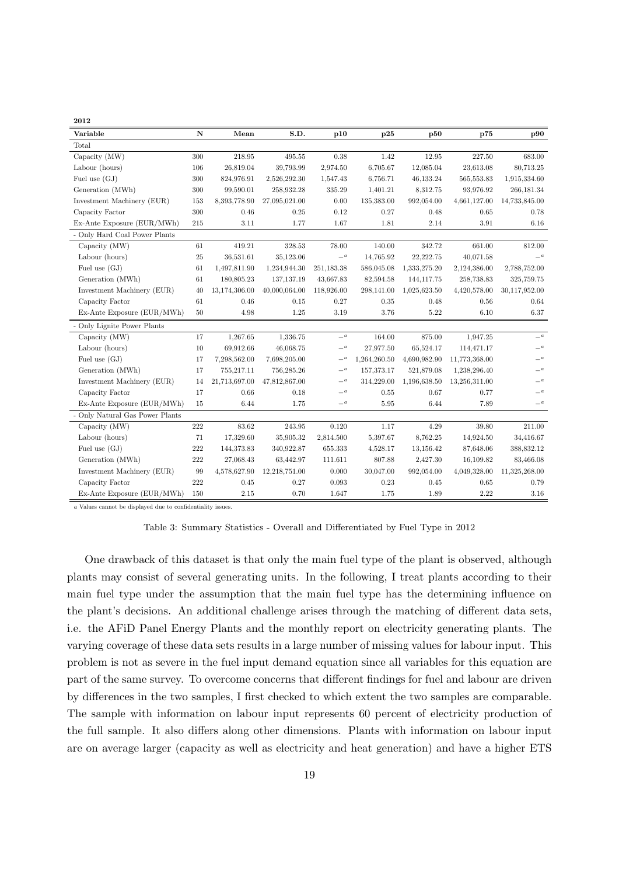<span id="page-21-0"></span>

| Variable                      | $\mathbf N$ | Mean          | S.D.          | p10              | p25          | p50          | p75           | p90              |
|-------------------------------|-------------|---------------|---------------|------------------|--------------|--------------|---------------|------------------|
| Total                         |             |               |               |                  |              |              |               |                  |
| Capacity (MW)                 | 300         | 218.95        | 495.55        | $0.38\,$         | 1.42         | 12.95        | 227.50        | 683.00           |
| Labour (hours)                | 106         | 26,819.04     | 39,793.99     | 2,974.50         | 6,705.67     | 12,085.04    | 23,613.08     | 80,713.25        |
| Fuel use $(GJ)$               | 300         | 824,976.91    | 2,526,292.30  | 1,547.43         | 6,756.71     | 46,133.24    | 565,553.83    | 1,915,334.60     |
| Generation (MWh)              | 300         | 99,590.01     | 258,932.28    | 335.29           | 1,401.21     | 8,312.75     | 93,976.92     | 266,181.34       |
| Investment Machinery (EUR)    | 153         | 8,393,778.90  | 27,095,021.00 | 0.00             | 135,383.00   | 992,054.00   | 4,661,127.00  | 14,733,845.00    |
| Capacity Factor               | 300         | 0.46          | 0.25          | 0.12             | 0.27         | 0.48         | 0.65          | 0.78             |
| Ex-Ante Exposure (EUR/MWh)    | 215         | 3.11          | 1.77          | 1.67             | 1.81         | 2.14         | 3.91          | 6.16             |
| - Only Hard Coal Power Plants |             |               |               |                  |              |              |               |                  |
| Capacity (MW)                 | 61          | 419.21        | 328.53        | 78.00            | 140.00       | 342.72       | 661.00        | 812.00           |
| Labour (hours)                | $25\,$      | 36,531.61     | 35,123.06     | $-$ <sup>a</sup> | 14,765.92    | 22,222.75    | 40,071.58     | $-^{\,a}$        |
| Fuel use $(GJ)$               | 61          | 1,497,811.90  | 1,234,944.30  | 251,183.38       | 586,045.08   | 1,333,275.20 | 2,124,386.00  | 2,788,752.00     |
| Generation (MWh)              | 61          | 180,805.23    | 137, 137. 19  | 43,667.83        | 82,594.58    | 144, 117.75  | 258,738.83    | 325,759.75       |
| Investment Machinery (EUR)    | 40          | 13,174,306.00 | 40,000,064.00 | 118,926.00       | 298,141.00   | 1,025,623.50 | 4,420,578.00  | 30,117,952.00    |
| Capacity Factor               | 61          | 0.46          | 0.15          | 0.27             | 0.35         | 0.48         | 0.56          | 0.64             |
| Ex-Ante Exposure (EUR/MWh)    | $50\,$      | 4.98          | $1.25\,$      | 3.19             | 3.76         | 5.22         | 6.10          | 6.37             |
| - Only Lignite Power Plants   |             |               |               |                  |              |              |               |                  |
| Capacity (MW)                 | 17          | 1,267.65      | 1,336.75      | $-^{\,a}$        | 164.00       | 875.00       | 1,947.25      | $-^{\,a}$        |
| Labour (hours)                | 10          | 69,912.66     | 46,068.75     | $-^{\,a}$        | 27,977.50    | 65,524.17    | 114,471.17    | $\equiv$ a       |
| Fuel use (GJ)                 | 17          | 7,298,562.00  | 7,698,205.00  | $-^{\,a}$        | 1,264,260.50 | 4,690,982.90 | 11,773,368.00 | $- \,{}^a$       |
| Generation (MWh)              | 17          | 755,217.11    | 756,285.26    | $-^a$            | 157,373.17   | 521,879.08   | 1,238,296.40  | $-^{\,a}$        |
| Investment Machinery (EUR)    | 14          | 21,713,697.00 | 47,812,867.00 | $-^{\,a}$        | 314,229.00   | 1,196,638.50 | 13,256,311.00 | $\mathbf{a}$     |
| Capacity Factor               | 17          | 0.66          | 0.18          | $\_a$            | 0.55         | 0.67         | 0.77          | $\equiv$ a       |
| Ex-Ante Exposure (EUR/MWh)    | 15          | 6.44          | 1.75          | $-$ <sup>a</sup> | 5.95         | 6.44         | 7.89          | $-$ <sup>a</sup> |
| Only Natural Gas Power Plants |             |               |               |                  |              |              |               |                  |
| Capacity (MW)                 | 222         | 83.62         | 243.95        | 0.120            | 1.17         | 4.29         | 39.80         | 211.00           |
| Labour (hours)                | 71          | 17,329.60     | 35,905.32     | 2,814.500        | 5,397.67     | 8,762.25     | 14,924.50     | 34,416.67        |
| Fuel use $(GJ)$               | $222\,$     | 144,373.83    | 340,922.87    | 655.333          | 4,528.17     | 13,156.42    | 87,648.06     | 388,832.12       |
| Generation (MWh)              | 222         | 27,068.43     | 63,442.97     | 111.611          | 807.88       | 2,427.30     | 16,109.82     | 83,466.08        |
| Investment Machinery (EUR)    | 99          | 4,578,627.90  | 12,218,751.00 | 0.000            | 30,047.00    | 992,054.00   | 4,049,328.00  | 11,325,268.00    |
| Capacity Factor               | 222         | 0.45          | 0.27          | 0.093            | 0.23         | 0.45         | 0.65          | 0.79             |
| Ex-Ante Exposure (EUR/MWh)    | 150         | 2.15          | $0.70\,$      | 1.647            | 1.75         | 1.89         | 2.22          | $3.16\,$         |

<sup>a</sup> Values cannot be displayed due to confidentiality issues.

| Table 3: Summary Statistics - Overall and Differentiated by Fuel Type in 2012 |  |  |  |  |  |  |
|-------------------------------------------------------------------------------|--|--|--|--|--|--|
|-------------------------------------------------------------------------------|--|--|--|--|--|--|

One drawback of this dataset is that only the main fuel type of the plant is observed, although plants may consist of several generating units. In the following, I treat plants according to their main fuel type under the assumption that the main fuel type has the determining influence on the plant's decisions. An additional challenge arises through the matching of different data sets, i.e. the AFiD Panel Energy Plants and the monthly report on electricity generating plants. The varying coverage of these data sets results in a large number of missing values for labour input. This problem is not as severe in the fuel input demand equation since all variables for this equation are part of the same survey. To overcome concerns that different findings for fuel and labour are driven by differences in the two samples, I first checked to which extent the two samples are comparable. The sample with information on labour input represents 60 percent of electricity production of the full sample. It also differs along other dimensions. Plants with information on labour input are on average larger (capacity as well as electricity and heat generation) and have a higher ETS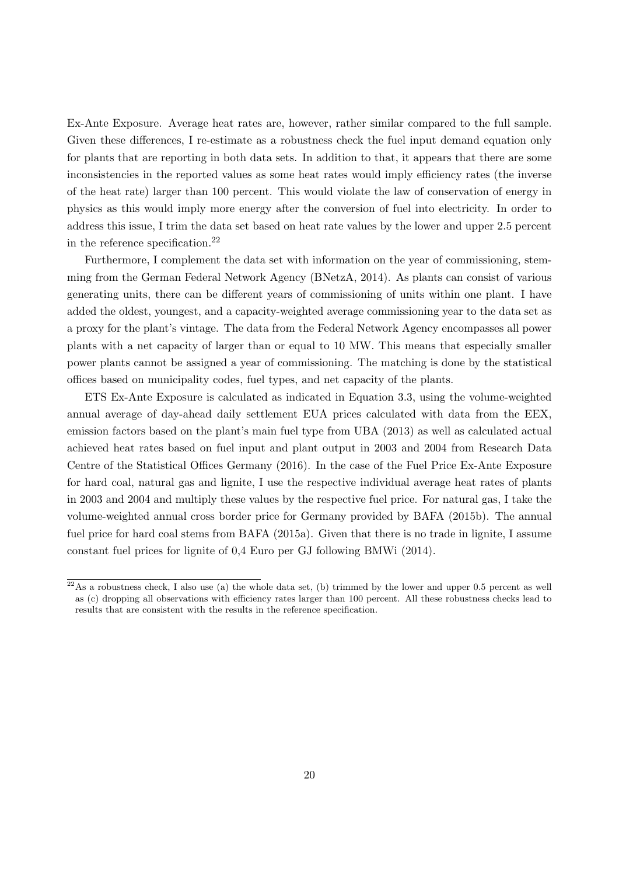Ex-Ante Exposure. Average heat rates are, however, rather similar compared to the full sample. Given these differences, I re-estimate as a robustness check the fuel input demand equation only for plants that are reporting in both data sets. In addition to that, it appears that there are some inconsistencies in the reported values as some heat rates would imply efficiency rates (the inverse of the heat rate) larger than 100 percent. This would violate the law of conservation of energy in physics as this would imply more energy after the conversion of fuel into electricity. In order to address this issue, I trim the data set based on heat rate values by the lower and upper 2.5 percent in the reference specification.[22](#page-22-0)

Furthermore, I complement the data set with information on the year of commissioning, stemming from the German Federal Network Agency [\(BNetzA, 2014\)](#page-32-19). As plants can consist of various generating units, there can be different years of commissioning of units within one plant. I have added the oldest, youngest, and a capacity-weighted average commissioning year to the data set as a proxy for the plant's vintage. The data from the Federal Network Agency encompasses all power plants with a net capacity of larger than or equal to 10 MW. This means that especially smaller power plants cannot be assigned a year of commissioning. The matching is done by the statistical offices based on municipality codes, fuel types, and net capacity of the plants.

ETS Ex-Ante Exposure is calculated as indicated in Equation [3.3,](#page-14-1) using the volume-weighted annual average of day-ahead daily settlement EUA prices calculated with data from the EEX, emission factors based on the plant's main fuel type from [UBA](#page-34-8) [\(2013\)](#page-34-8) as well as calculated actual achieved heat rates based on fuel input and plant output in 2003 and 2004 from [Research Data](#page-34-0) [Centre of the Statistical Offices Germany](#page-34-0) [\(2016\)](#page-34-0). In the case of the Fuel Price Ex-Ante Exposure for hard coal, natural gas and lignite, I use the respective individual average heat rates of plants in 2003 and 2004 and multiply these values by the respective fuel price. For natural gas, I take the volume-weighted annual cross border price for Germany provided by [BAFA](#page-32-13) [\(2015b\)](#page-32-13). The annual fuel price for hard coal stems from [BAFA](#page-32-12) [\(2015a\)](#page-32-12). Given that there is no trade in lignite, I assume constant fuel prices for lignite of 0,4 Euro per GJ following [BMWi](#page-32-20) [\(2014\)](#page-32-20).

<span id="page-22-0"></span> $^{22}$ As a robustness check, I also use (a) the whole data set, (b) trimmed by the lower and upper 0.5 percent as well as (c) dropping all observations with efficiency rates larger than 100 percent. All these robustness checks lead to results that are consistent with the results in the reference specification.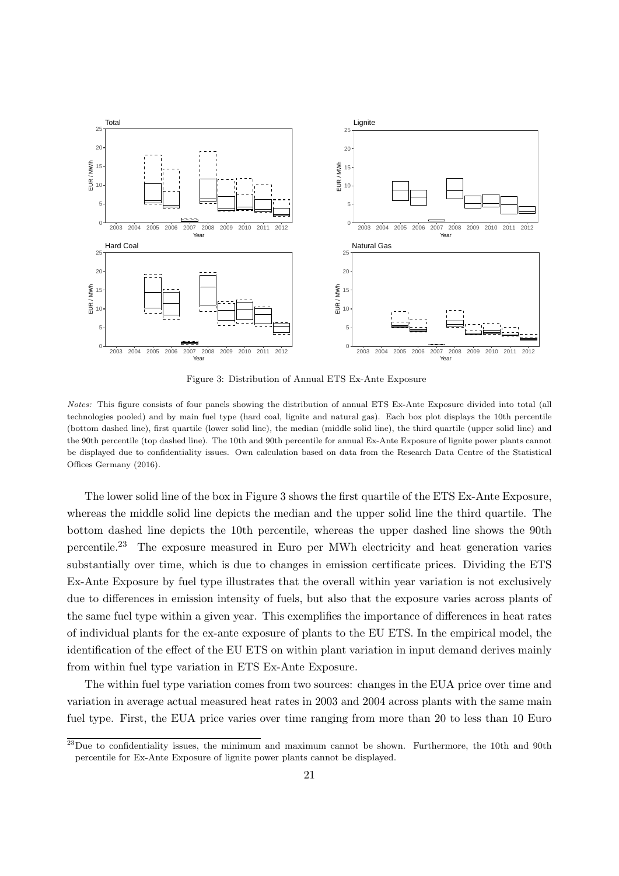<span id="page-23-0"></span>

Figure 3: Distribution of Annual ETS Ex-Ante Exposure

Notes: This figure consists of four panels showing the distribution of annual ETS Ex-Ante Exposure divided into total (all technologies pooled) and by main fuel type (hard coal, lignite and natural gas). Each box plot displays the 10th percentile (bottom dashed line), first quartile (lower solid line), the median (middle solid line), the third quartile (upper solid line) and the 90th percentile (top dashed line). The 10th and 90th percentile for annual Ex-Ante Exposure of lignite power plants cannot be displayed due to confidentiality issues. Own calculation based on data from the Research Data Centre of the Statistical Offices Germany (2016).

The lower solid line of the box in Figure [3](#page-23-0) shows the first quartile of the ETS Ex-Ante Exposure, whereas the middle solid line depicts the median and the upper solid line the third quartile. The bottom dashed line depicts the 10th percentile, whereas the upper dashed line shows the 90th percentile.[23](#page-23-1) The exposure measured in Euro per MWh electricity and heat generation varies substantially over time, which is due to changes in emission certificate prices. Dividing the ETS Ex-Ante Exposure by fuel type illustrates that the overall within year variation is not exclusively due to differences in emission intensity of fuels, but also that the exposure varies across plants of the same fuel type within a given year. This exemplifies the importance of differences in heat rates of individual plants for the ex-ante exposure of plants to the EU ETS. In the empirical model, the identification of the effect of the EU ETS on within plant variation in input demand derives mainly from within fuel type variation in ETS Ex-Ante Exposure.

The within fuel type variation comes from two sources: changes in the EUA price over time and variation in average actual measured heat rates in 2003 and 2004 across plants with the same main fuel type. First, the EUA price varies over time ranging from more than 20 to less than 10 Euro

<span id="page-23-1"></span><sup>&</sup>lt;sup>23</sup>Due to confidentiality issues, the minimum and maximum cannot be shown. Furthermore, the 10th and 90th percentile for Ex-Ante Exposure of lignite power plants cannot be displayed.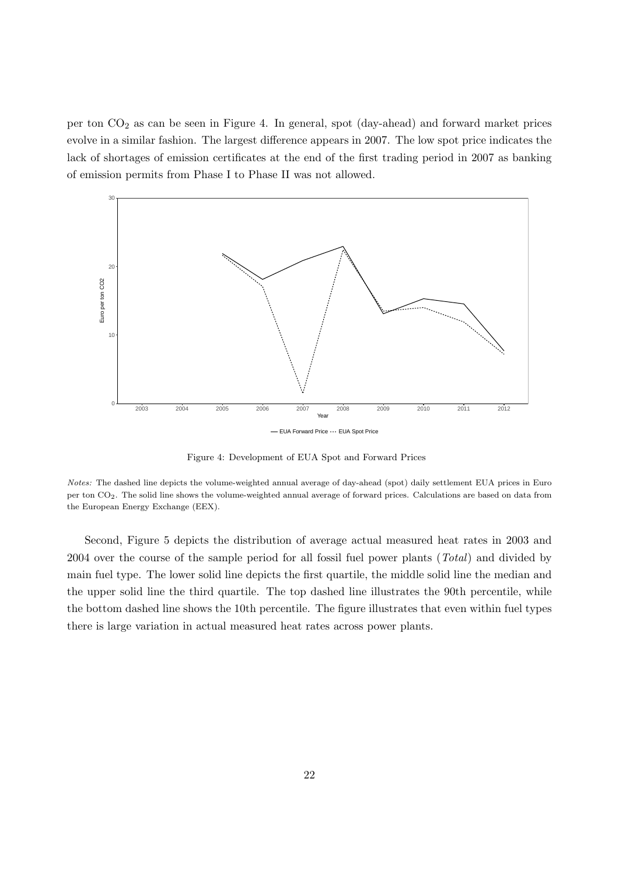per ton  $CO<sub>2</sub>$  as can be seen in Figure [4.](#page-24-0) In general, spot (day-ahead) and forward market prices evolve in a similar fashion. The largest difference appears in 2007. The low spot price indicates the lack of shortages of emission certificates at the end of the first trading period in 2007 as banking of emission permits from Phase I to Phase II was not allowed.

<span id="page-24-0"></span>

Figure 4: Development of EUA Spot and Forward Prices

Notes: The dashed line depicts the volume-weighted annual average of day-ahead (spot) daily settlement EUA prices in Euro per ton CO2. The solid line shows the volume-weighted annual average of forward prices. Calculations are based on data from the European Energy Exchange (EEX).

Second, Figure [5](#page-25-1) depicts the distribution of average actual measured heat rates in 2003 and 2004 over the course of the sample period for all fossil fuel power plants (Total) and divided by main fuel type. The lower solid line depicts the first quartile, the middle solid line the median and the upper solid line the third quartile. The top dashed line illustrates the 90th percentile, while the bottom dashed line shows the 10th percentile. The figure illustrates that even within fuel types there is large variation in actual measured heat rates across power plants.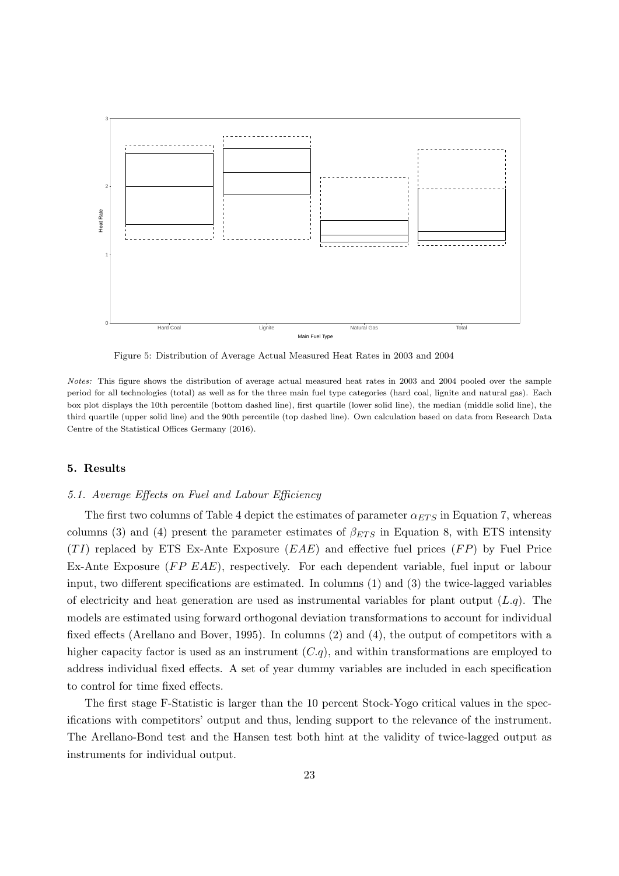<span id="page-25-1"></span>

Figure 5: Distribution of Average Actual Measured Heat Rates in 2003 and 2004

Notes: This figure shows the distribution of average actual measured heat rates in 2003 and 2004 pooled over the sample period for all technologies (total) as well as for the three main fuel type categories (hard coal, lignite and natural gas). Each box plot displays the 10th percentile (bottom dashed line), first quartile (lower solid line), the median (middle solid line), the third quartile (upper solid line) and the 90th percentile (top dashed line). Own calculation based on data from Research Data Centre of the Statistical Offices Germany (2016).

# <span id="page-25-0"></span>5. Results

#### 5.1. Average Effects on Fuel and Labour Efficiency

The first two columns of Table [4](#page-26-0) depict the estimates of parameter  $\alpha_{ETS}$  in Equation [7,](#page-14-2) whereas columns (3) and (4) present the parameter estimates of  $\beta_{ETS}$  in Equation [8,](#page-14-3) with ETS intensity  $(TI)$  replaced by ETS Ex-Ante Exposure  $(EAE)$  and effective fuel prices  $(FP)$  by Fuel Price Ex-Ante Exposure  $(FP EAE)$ , respectively. For each dependent variable, fuel input or labour input, two different specifications are estimated. In columns (1) and (3) the twice-lagged variables of electricity and heat generation are used as instrumental variables for plant output  $(Lq)$ . The models are estimated using forward orthogonal deviation transformations to account for individual fixed effects [\(Arellano and Bover, 1995\)](#page-32-21). In columns (2) and (4), the output of competitors with a higher capacity factor is used as an instrument  $(C,q)$ , and within transformations are employed to address individual fixed effects. A set of year dummy variables are included in each specification to control for time fixed effects.

The first stage F-Statistic is larger than the 10 percent Stock-Yogo critical values in the specifications with competitors' output and thus, lending support to the relevance of the instrument. The Arellano-Bond test and the Hansen test both hint at the validity of twice-lagged output as instruments for individual output.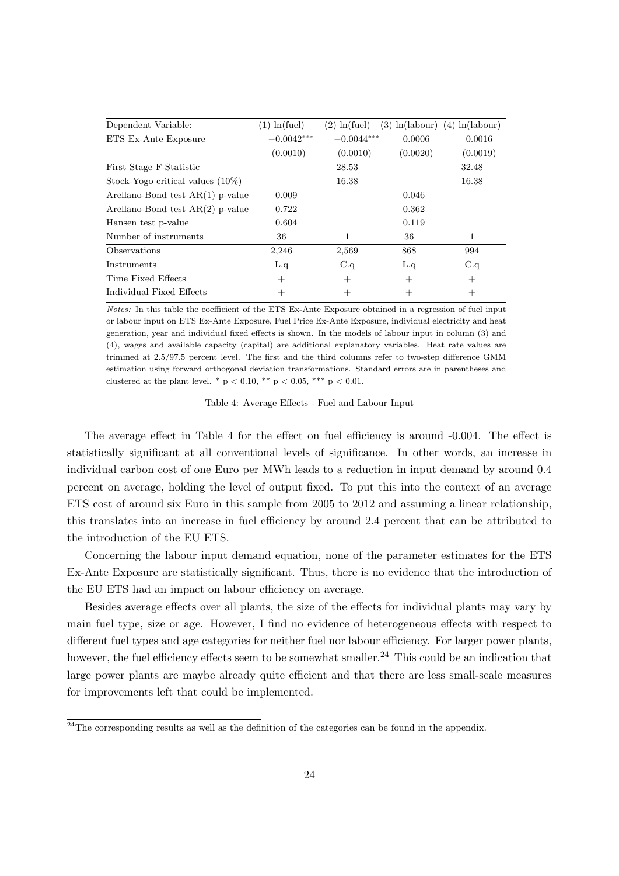<span id="page-26-0"></span>

| Dependent Variable:                 | $(1) \ln(\text{fuel})$ | $(2) \ln(\text{fuel})$ | $(3) \ln(\text{labour})$ | ln(labour)<br>(4) |
|-------------------------------------|------------------------|------------------------|--------------------------|-------------------|
| ETS Ex-Ante Exposure                | $-0.0042***$           | $-0.0044***$           | 0.0006                   | 0.0016            |
|                                     | (0.0010)               | (0.0010)               | (0.0020)                 | (0.0019)          |
| First Stage F-Statistic             |                        | 28.53                  |                          | 32.48             |
| Stock-Yogo critical values $(10\%)$ |                        | 16.38                  |                          | 16.38             |
| Arellano-Bond test $AR(1)$ p-value  | 0.009                  |                        | 0.046                    |                   |
| Arellano-Bond test $AR(2)$ p-value  | 0.722                  |                        | 0.362                    |                   |
| Hansen test p-value                 | 0.604                  |                        | 0.119                    |                   |
| Number of instruments               | 36                     | 1                      | 36                       | 1                 |
| Observations                        | 2,246                  | 2,569                  | 868                      | 994               |
| Instruments                         | L.q                    | C.q                    | L.q                      | C.q               |
| Time Fixed Effects                  | $^{+}$                 | $^{+}$                 | $^+$                     | $^{+}$            |
| Individual Fixed Effects            | $^{+}$                 | $^+$                   | $^{+}$                   | $^{+}$            |

Notes: In this table the coefficient of the ETS Ex-Ante Exposure obtained in a regression of fuel input or labour input on ETS Ex-Ante Exposure, Fuel Price Ex-Ante Exposure, individual electricity and heat generation, year and individual fixed effects is shown. In the models of labour input in column (3) and (4), wages and available capacity (capital) are additional explanatory variables. Heat rate values are trimmed at 2.5/97.5 percent level. The first and the third columns refer to two-step difference GMM estimation using forward orthogonal deviation transformations. Standard errors are in parentheses and clustered at the plant level. \*  $p < 0.10$ , \*\*  $p < 0.05$ , \*\*\*  $p < 0.01$ .

Table 4: Average Effects - Fuel and Labour Input

The average effect in Table [4](#page-26-0) for the effect on fuel efficiency is around -0.004. The effect is statistically significant at all conventional levels of significance. In other words, an increase in individual carbon cost of one Euro per MWh leads to a reduction in input demand by around 0.4 percent on average, holding the level of output fixed. To put this into the context of an average ETS cost of around six Euro in this sample from 2005 to 2012 and assuming a linear relationship, this translates into an increase in fuel efficiency by around 2.4 percent that can be attributed to the introduction of the EU ETS.

Concerning the labour input demand equation, none of the parameter estimates for the ETS Ex-Ante Exposure are statistically significant. Thus, there is no evidence that the introduction of the EU ETS had an impact on labour efficiency on average.

Besides average effects over all plants, the size of the effects for individual plants may vary by main fuel type, size or age. However, I find no evidence of heterogeneous effects with respect to different fuel types and age categories for neither fuel nor labour efficiency. For larger power plants, however, the fuel efficiency effects seem to be somewhat smaller.<sup>[24](#page-26-1)</sup> This could be an indication that large power plants are maybe already quite efficient and that there are less small-scale measures for improvements left that could be implemented.

<span id="page-26-1"></span> $\overline{^{24}$ The corresponding results as well as the definition of the categories can be found in the appendix.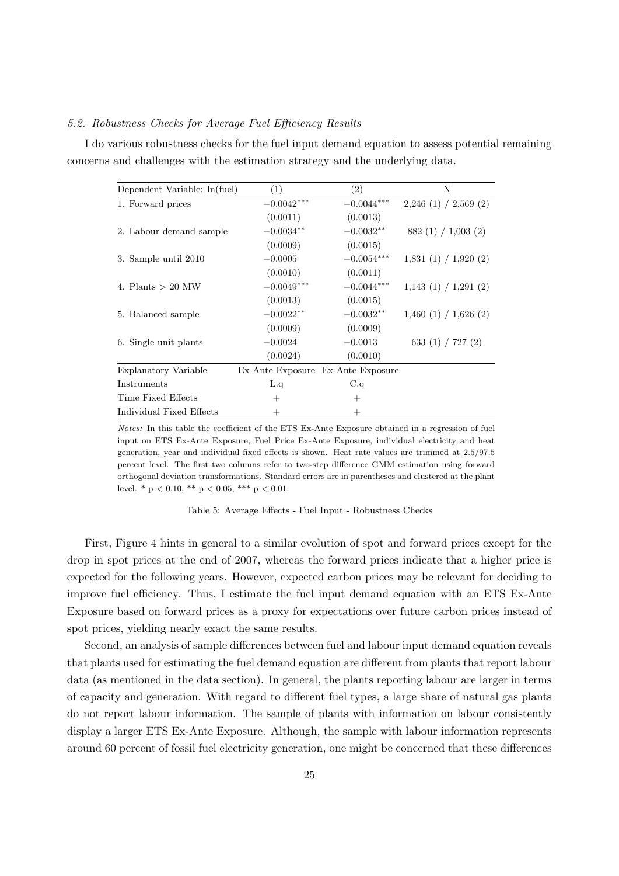### 5.2. Robustness Checks for Average Fuel Efficiency Results

I do various robustness checks for the fuel input demand equation to assess potential remaining concerns and challenges with the estimation strategy and the underlying data.

| Dependent Variable: ln(fuel) | (1)          | (2)                               | N                       |
|------------------------------|--------------|-----------------------------------|-------------------------|
| 1. Forward prices            | $-0.0042***$ | $-0.0044***$                      | $2,246$ (1) / 2,569 (2) |
|                              | (0.0011)     | (0.0013)                          |                         |
| 2. Labour demand sample      | $-0.0034***$ | $-0.0032**$                       | 882(1)/1,003(2)         |
|                              | (0.0009)     | (0.0015)                          |                         |
| 3. Sample until 2010         | $-0.0005$    | $-0.0054***$                      | 1,831(1) / 1,920(2)     |
|                              | (0.0010)     | (0.0011)                          |                         |
| 4. Plants $> 20$ MW          | $-0.0049***$ | $-0.0044***$                      | 1,143(1) / 1,291(2)     |
|                              | (0.0013)     | (0.0015)                          |                         |
| 5. Balanced sample           | $-0.0022**$  | $-0.0032**$                       | 1,460(1) / 1,626(2)     |
|                              | (0.0009)     | (0.0009)                          |                         |
| 6. Single unit plants        | $-0.0024$    | $-0.0013$                         | 633 $(1)$ / 727 $(2)$   |
|                              | (0.0024)     | (0.0010)                          |                         |
| Explanatory Variable         |              | Ex-Ante Exposure Ex-Ante Exposure |                         |
| Instruments                  | L.q          | C.q                               |                         |
| Time Fixed Effects           | $^{+}$       | $^+$                              |                         |
| Individual Fixed Effects     | $^{+}$       | $^{+}$                            |                         |

Notes: In this table the coefficient of the ETS Ex-Ante Exposure obtained in a regression of fuel input on ETS Ex-Ante Exposure, Fuel Price Ex-Ante Exposure, individual electricity and heat generation, year and individual fixed effects is shown. Heat rate values are trimmed at 2.5/97.5 percent level. The first two columns refer to two-step difference GMM estimation using forward orthogonal deviation transformations. Standard errors are in parentheses and clustered at the plant level. \*  $p < 0.10$ , \*\*  $p < 0.05$ , \*\*\*  $p < 0.01$ .

Table 5: Average Effects - Fuel Input - Robustness Checks

First, Figure [4](#page-24-0) hints in general to a similar evolution of spot and forward prices except for the drop in spot prices at the end of 2007, whereas the forward prices indicate that a higher price is expected for the following years. However, expected carbon prices may be relevant for deciding to improve fuel efficiency. Thus, I estimate the fuel input demand equation with an ETS Ex-Ante Exposure based on forward prices as a proxy for expectations over future carbon prices instead of spot prices, yielding nearly exact the same results.

Second, an analysis of sample differences between fuel and labour input demand equation reveals that plants used for estimating the fuel demand equation are different from plants that report labour data (as mentioned in the data section). In general, the plants reporting labour are larger in terms of capacity and generation. With regard to different fuel types, a large share of natural gas plants do not report labour information. The sample of plants with information on labour consistently display a larger ETS Ex-Ante Exposure. Although, the sample with labour information represents around 60 percent of fossil fuel electricity generation, one might be concerned that these differences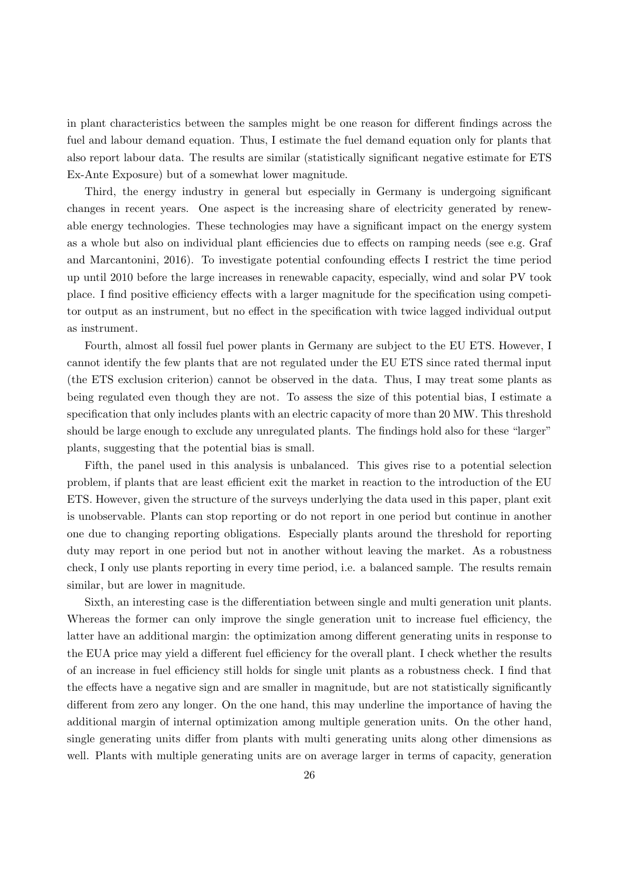in plant characteristics between the samples might be one reason for different findings across the fuel and labour demand equation. Thus, I estimate the fuel demand equation only for plants that also report labour data. The results are similar (statistically significant negative estimate for ETS Ex-Ante Exposure) but of a somewhat lower magnitude.

Third, the energy industry in general but especially in Germany is undergoing significant changes in recent years. One aspect is the increasing share of electricity generated by renewable energy technologies. These technologies may have a significant impact on the energy system as a whole but also on individual plant efficiencies due to effects on ramping needs (see e.g. [Graf](#page-33-21) [and Marcantonini, 2016\)](#page-33-21). To investigate potential confounding effects I restrict the time period up until 2010 before the large increases in renewable capacity, especially, wind and solar PV took place. I find positive efficiency effects with a larger magnitude for the specification using competitor output as an instrument, but no effect in the specification with twice lagged individual output as instrument.

Fourth, almost all fossil fuel power plants in Germany are subject to the EU ETS. However, I cannot identify the few plants that are not regulated under the EU ETS since rated thermal input (the ETS exclusion criterion) cannot be observed in the data. Thus, I may treat some plants as being regulated even though they are not. To assess the size of this potential bias, I estimate a specification that only includes plants with an electric capacity of more than 20 MW. This threshold should be large enough to exclude any unregulated plants. The findings hold also for these "larger" plants, suggesting that the potential bias is small.

Fifth, the panel used in this analysis is unbalanced. This gives rise to a potential selection problem, if plants that are least efficient exit the market in reaction to the introduction of the EU ETS. However, given the structure of the surveys underlying the data used in this paper, plant exit is unobservable. Plants can stop reporting or do not report in one period but continue in another one due to changing reporting obligations. Especially plants around the threshold for reporting duty may report in one period but not in another without leaving the market. As a robustness check, I only use plants reporting in every time period, i.e. a balanced sample. The results remain similar, but are lower in magnitude.

Sixth, an interesting case is the differentiation between single and multi generation unit plants. Whereas the former can only improve the single generation unit to increase fuel efficiency, the latter have an additional margin: the optimization among different generating units in response to the EUA price may yield a different fuel efficiency for the overall plant. I check whether the results of an increase in fuel efficiency still holds for single unit plants as a robustness check. I find that the effects have a negative sign and are smaller in magnitude, but are not statistically significantly different from zero any longer. On the one hand, this may underline the importance of having the additional margin of internal optimization among multiple generation units. On the other hand, single generating units differ from plants with multi generating units along other dimensions as well. Plants with multiple generating units are on average larger in terms of capacity, generation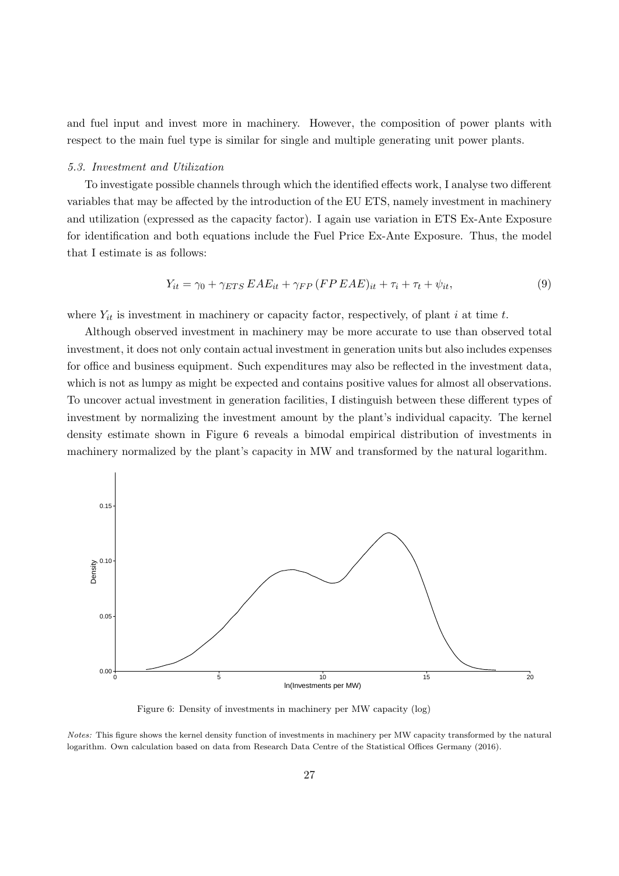and fuel input and invest more in machinery. However, the composition of power plants with respect to the main fuel type is similar for single and multiple generating unit power plants.

#### 5.3. Investment and Utilization

To investigate possible channels through which the identified effects work, I analyse two different variables that may be affected by the introduction of the EU ETS, namely investment in machinery and utilization (expressed as the capacity factor). I again use variation in ETS Ex-Ante Exposure for identification and both equations include the Fuel Price Ex-Ante Exposure. Thus, the model that I estimate is as follows:

$$
Y_{it} = \gamma_0 + \gamma_{ETS} EAE_{it} + \gamma_{FP} (FPEAE)_{it} + \tau_i + \tau_t + \psi_{it}, \qquad (9)
$$

where  $Y_{it}$  is investment in machinery or capacity factor, respectively, of plant i at time t.

Although observed investment in machinery may be more accurate to use than observed total investment, it does not only contain actual investment in generation units but also includes expenses for office and business equipment. Such expenditures may also be reflected in the investment data, which is not as lumpy as might be expected and contains positive values for almost all observations. To uncover actual investment in generation facilities, I distinguish between these different types of investment by normalizing the investment amount by the plant's individual capacity. The kernel density estimate shown in Figure [6](#page-29-0) reveals a bimodal empirical distribution of investments in machinery normalized by the plant's capacity in MW and transformed by the natural logarithm.

<span id="page-29-0"></span>

Figure 6: Density of investments in machinery per MW capacity (log)

Notes: This figure shows the kernel density function of investments in machinery per MW capacity transformed by the natural logarithm. Own calculation based on data from Research Data Centre of the Statistical Offices Germany (2016).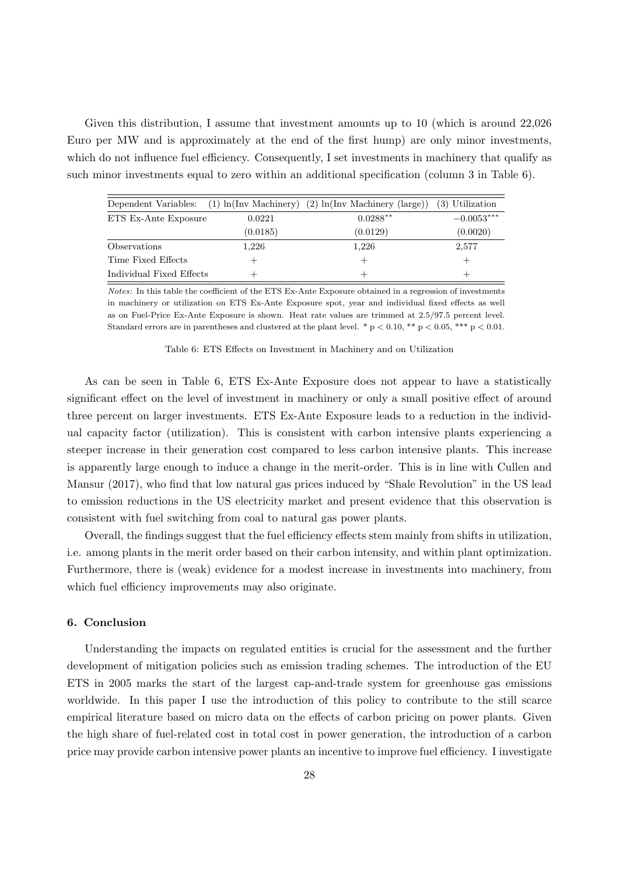Given this distribution, I assume that investment amounts up to 10 (which is around 22,026 Euro per MW and is approximately at the end of the first hump) are only minor investments, which do not influence fuel efficiency. Consequently, I set investments in machinery that qualify as such minor investments equal to zero within an additional specification (column 3 in Table [6\)](#page-30-1).

<span id="page-30-1"></span>

|                          |          | Dependent Variables: $(1) \ln(\text{Inv Machinery}) (2) \ln(\text{Inv Machinery (large)})$ | (3) Utilization |
|--------------------------|----------|--------------------------------------------------------------------------------------------|-----------------|
| ETS Ex-Ante Exposure     | 0.0221   | $0.0288**$                                                                                 | $-0.0053***$    |
|                          | (0.0185) | (0.0129)                                                                                   | (0.0020)        |
| Observations             | 1,226    | 1,226                                                                                      | 2,577           |
| Time Fixed Effects       |          | $^+$                                                                                       |                 |
| Individual Fixed Effects |          | $\mathrm{+}$                                                                               |                 |

Notes: In this table the coefficient of the ETS Ex-Ante Exposure obtained in a regression of investments in machinery or utilization on ETS Ex-Ante Exposure spot, year and individual fixed effects as well as on Fuel-Price Ex-Ante Exposure is shown. Heat rate values are trimmed at 2.5/97.5 percent level. Standard errors are in parentheses and clustered at the plant level. \*  $p < 0.10$ , \*\*  $p < 0.05$ , \*\*\*  $p < 0.01$ .

Table 6: ETS Effects on Investment in Machinery and on Utilization

As can be seen in Table [6,](#page-30-1) ETS Ex-Ante Exposure does not appear to have a statistically significant effect on the level of investment in machinery or only a small positive effect of around three percent on larger investments. ETS Ex-Ante Exposure leads to a reduction in the individual capacity factor (utilization). This is consistent with carbon intensive plants experiencing a steeper increase in their generation cost compared to less carbon intensive plants. This increase is apparently large enough to induce a change in the merit-order. This is in line with [Cullen and](#page-32-22) [Mansur](#page-32-22) [\(2017\)](#page-32-22), who find that low natural gas prices induced by "Shale Revolution" in the US lead to emission reductions in the US electricity market and present evidence that this observation is consistent with fuel switching from coal to natural gas power plants.

Overall, the findings suggest that the fuel efficiency effects stem mainly from shifts in utilization, i.e. among plants in the merit order based on their carbon intensity, and within plant optimization. Furthermore, there is (weak) evidence for a modest increase in investments into machinery, from which fuel efficiency improvements may also originate.

# <span id="page-30-0"></span>6. Conclusion

Understanding the impacts on regulated entities is crucial for the assessment and the further development of mitigation policies such as emission trading schemes. The introduction of the EU ETS in 2005 marks the start of the largest cap-and-trade system for greenhouse gas emissions worldwide. In this paper I use the introduction of this policy to contribute to the still scarce empirical literature based on micro data on the effects of carbon pricing on power plants. Given the high share of fuel-related cost in total cost in power generation, the introduction of a carbon price may provide carbon intensive power plants an incentive to improve fuel efficiency. I investigate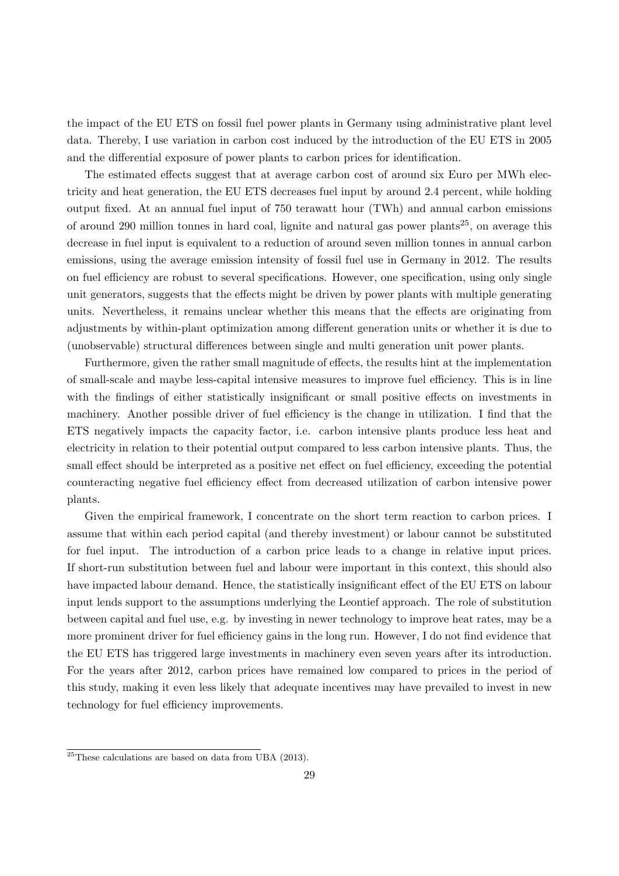the impact of the EU ETS on fossil fuel power plants in Germany using administrative plant level data. Thereby, I use variation in carbon cost induced by the introduction of the EU ETS in 2005 and the differential exposure of power plants to carbon prices for identification.

The estimated effects suggest that at average carbon cost of around six Euro per MWh electricity and heat generation, the EU ETS decreases fuel input by around 2.4 percent, while holding output fixed. At an annual fuel input of 750 terawatt hour (TWh) and annual carbon emissions of around 290 million tonnes in hard coal, lignite and natural gas power plants<sup>[25](#page-31-0)</sup>, on average this decrease in fuel input is equivalent to a reduction of around seven million tonnes in annual carbon emissions, using the average emission intensity of fossil fuel use in Germany in 2012. The results on fuel efficiency are robust to several specifications. However, one specification, using only single unit generators, suggests that the effects might be driven by power plants with multiple generating units. Nevertheless, it remains unclear whether this means that the effects are originating from adjustments by within-plant optimization among different generation units or whether it is due to (unobservable) structural differences between single and multi generation unit power plants.

Furthermore, given the rather small magnitude of effects, the results hint at the implementation of small-scale and maybe less-capital intensive measures to improve fuel efficiency. This is in line with the findings of either statistically insignificant or small positive effects on investments in machinery. Another possible driver of fuel efficiency is the change in utilization. I find that the ETS negatively impacts the capacity factor, i.e. carbon intensive plants produce less heat and electricity in relation to their potential output compared to less carbon intensive plants. Thus, the small effect should be interpreted as a positive net effect on fuel efficiency, exceeding the potential counteracting negative fuel efficiency effect from decreased utilization of carbon intensive power plants.

Given the empirical framework, I concentrate on the short term reaction to carbon prices. I assume that within each period capital (and thereby investment) or labour cannot be substituted for fuel input. The introduction of a carbon price leads to a change in relative input prices. If short-run substitution between fuel and labour were important in this context, this should also have impacted labour demand. Hence, the statistically insignificant effect of the EU ETS on labour input lends support to the assumptions underlying the Leontief approach. The role of substitution between capital and fuel use, e.g. by investing in newer technology to improve heat rates, may be a more prominent driver for fuel efficiency gains in the long run. However, I do not find evidence that the EU ETS has triggered large investments in machinery even seven years after its introduction. For the years after 2012, carbon prices have remained low compared to prices in the period of this study, making it even less likely that adequate incentives may have prevailed to invest in new technology for fuel efficiency improvements.

<span id="page-31-0"></span> $25$ These calculations are based on data from [UBA](#page-34-8) [\(2013\)](#page-34-8).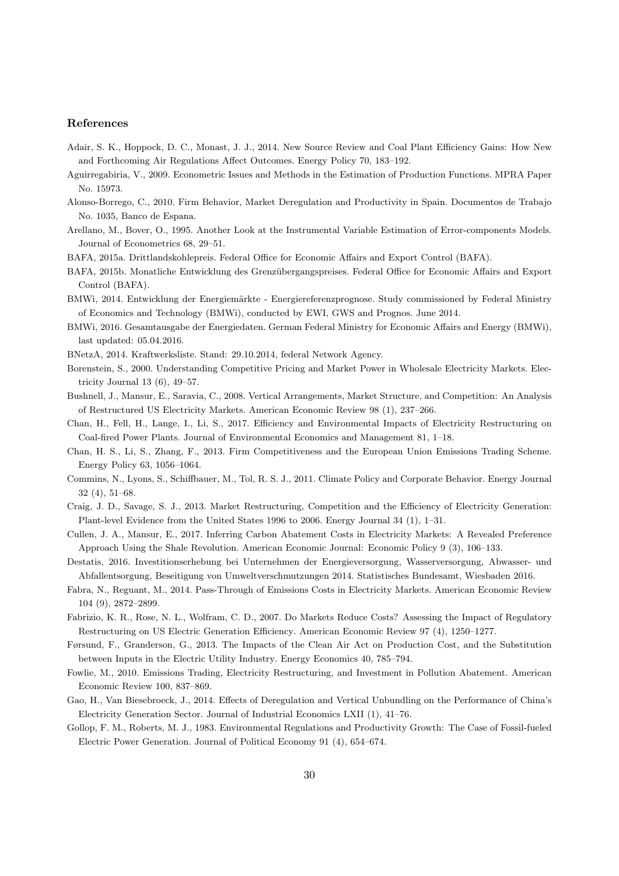#### References

- <span id="page-32-8"></span>Adair, S. K., Hoppock, D. C., Monast, J. J., 2014. New Source Review and Coal Plant Efficiency Gains: How New and Forthcoming Air Regulations Affect Outcomes. Energy Policy 70, 183–192.
- <span id="page-32-16"></span>Aguirregabiria, V., 2009. Econometric Issues and Methods in the Estimation of Production Functions. MPRA Paper No. 15973.
- <span id="page-32-17"></span>Alonso-Borrego, C., 2010. Firm Behavior, Market Deregulation and Productivity in Spain. Documentos de Trabajo No. 1035, Banco de Espana.
- <span id="page-32-21"></span>Arellano, M., Bover, O., 1995. Another Look at the Instrumental Variable Estimation of Error-components Models. Journal of Econometrics 68, 29–51.
- <span id="page-32-12"></span>BAFA, 2015a. Drittlandskohlepreis. Federal Office for Economic Affairs and Export Control (BAFA).
- <span id="page-32-13"></span>BAFA, 2015b. Monatliche Entwicklung des Grenz¨ubergangspreises. Federal Office for Economic Affairs and Export Control (BAFA).
- <span id="page-32-20"></span>BMWi, 2014. Entwicklung der Energiemärkte - Energiereferenzprognose. Study commissioned by Federal Ministry of Economics and Technology (BMWi), conducted by EWI, GWS and Prognos. June 2014.
- <span id="page-32-11"></span>BMWi, 2016. Gesamtausgabe der Energiedaten. German Federal Ministry for Economic Affairs and Energy (BMWi), last updated: 05.04.2016.
- <span id="page-32-19"></span>BNetzA, 2014. Kraftwerksliste. Stand: 29.10.2014, federal Network Agency.
- <span id="page-32-15"></span>Borenstein, S., 2000. Understanding Competitive Pricing and Market Power in Wholesale Electricity Markets. Electricity Journal 13 (6), 49–57.
- <span id="page-32-10"></span>Bushnell, J., Mansur, E., Saravia, C., 2008. Vertical Arrangements, Market Structure, and Competition: An Analysis of Restructured US Electricity Markets. American Economic Review 98 (1), 237–266.
- <span id="page-32-3"></span>Chan, H., Fell, H., Lange, I., Li, S., 2017. Efficiency and Environmental Impacts of Electricity Restructuring on Coal-fired Power Plants. Journal of Environmental Economics and Management 81, 1–18.
- <span id="page-32-7"></span>Chan, H. S., Li, S., Zhang, F., 2013. Firm Competitiveness and the European Union Emissions Trading Scheme. Energy Policy 63, 1056–1064.
- <span id="page-32-9"></span>Commins, N., Lyons, S., Schiffbauer, M., Tol, R. S. J., 2011. Climate Policy and Corporate Behavior. Energy Journal 32 (4), 51–68.
- <span id="page-32-2"></span>Craig, J. D., Savage, S. J., 2013. Market Restructuring, Competition and the Efficiency of Electricity Generation: Plant-level Evidence from the United States 1996 to 2006. Energy Journal 34 (1), 1–31.
- <span id="page-32-22"></span>Cullen, J. A., Mansur, E., 2017. Inferring Carbon Abatement Costs in Electricity Markets: A Revealed Preference Approach Using the Shale Revolution. American Economic Journal: Economic Policy 9 (3), 106–133.
- <span id="page-32-18"></span>Destatis, 2016. Investitionserhebung bei Unternehmen der Energieversorgung, Wasserversorgung, Abwasser- und Abfallentsorgung, Beseitigung von Umweltverschmutzungen 2014. Statistisches Bundesamt, Wiesbaden 2016.
- <span id="page-32-14"></span>Fabra, N., Reguant, M., 2014. Pass-Through of Emissions Costs in Electricity Markets. American Economic Review 104 (9), 2872–2899.
- <span id="page-32-0"></span>Fabrizio, K. R., Rose, N. L., Wolfram, C. D., 2007. Do Markets Reduce Costs? Assessing the Impact of Regulatory Restructuring on US Electric Generation Efficiency. American Economic Review 97 (4), 1250–1277.
- <span id="page-32-6"></span>Førsund, F., Granderson, G., 2013. The Impacts of the Clean Air Act on Production Cost, and the Substitution between Inputs in the Electric Utility Industry. Energy Economics 40, 785–794.
- <span id="page-32-4"></span>Fowlie, M., 2010. Emissions Trading, Electricity Restructuring, and Investment in Pollution Abatement. American Economic Review 100, 837–869.
- <span id="page-32-1"></span>Gao, H., Van Biesebroeck, J., 2014. Effects of Deregulation and Vertical Unbundling on the Performance of China's Electricity Generation Sector. Journal of Industrial Economics LXII (1), 41–76.
- <span id="page-32-5"></span>Gollop, F. M., Roberts, M. J., 1983. Environmental Regulations and Productivity Growth: The Case of Fossil-fueled Electric Power Generation. Journal of Political Economy 91 (4), 654–674.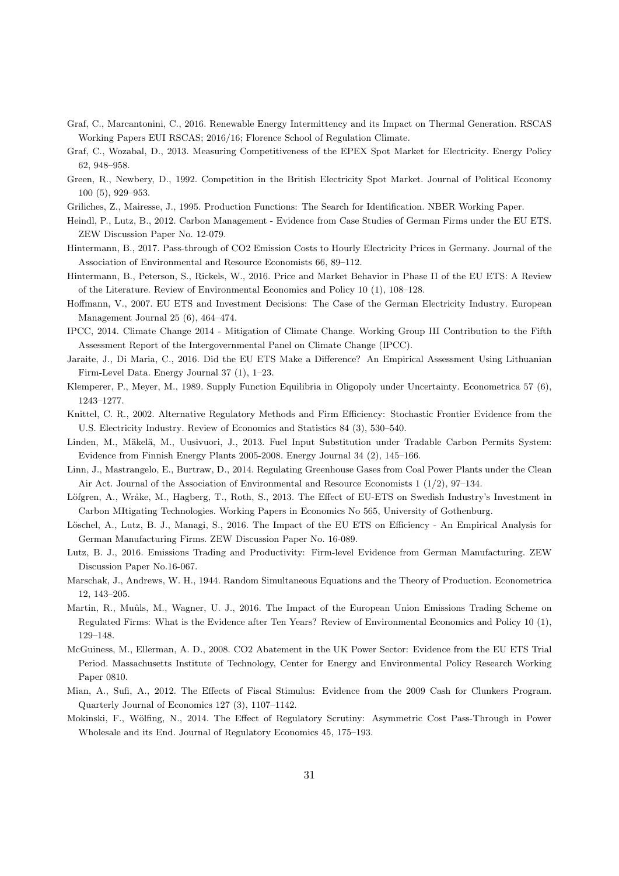- <span id="page-33-21"></span>Graf, C., Marcantonini, C., 2016. Renewable Energy Intermittency and its Impact on Thermal Generation. RSCAS Working Papers EUI RSCAS; 2016/16; Florence School of Regulation Climate.
- <span id="page-33-17"></span>Graf, C., Wozabal, D., 2013. Measuring Competitiveness of the EPEX Spot Market for Electricity. Energy Policy 62, 948–958.
- <span id="page-33-16"></span>Green, R., Newbery, D., 1992. Competition in the British Electricity Spot Market. Journal of Political Economy 100 (5), 929–953.
- <span id="page-33-4"></span>Griliches, Z., Mairesse, J., 1995. Production Functions: The Search for Identification. NBER Working Paper.
- <span id="page-33-18"></span>Heindl, P., Lutz, B., 2012. Carbon Management - Evidence from Case Studies of German Firms under the EU ETS. ZEW Discussion Paper No. 12-079.
- <span id="page-33-19"></span>Hintermann, B., 2017. Pass-through of CO2 Emission Costs to Hourly Electricity Prices in Germany. Journal of the Association of Environmental and Resource Economists 66, 89–112.
- <span id="page-33-1"></span>Hintermann, B., Peterson, S., Rickels, W., 2016. Price and Market Behavior in Phase II of the EU ETS: A Review of the Literature. Review of Environmental Economics and Policy 10 (1), 108–128.
- <span id="page-33-2"></span>Hoffmann, V., 2007. EU ETS and Investment Decisions: The Case of the German Electricity Industry. European Management Journal 25 (6), 464–474.
- <span id="page-33-0"></span>IPCC, 2014. Climate Change 2014 - Mitigation of Climate Change. Working Group III Contribution to the Fifth Assessment Report of the Intergovernmental Panel on Climate Change (IPCC).
- <span id="page-33-12"></span>Jaraite, J., Di Maria, C., 2016. Did the EU ETS Make a Difference? An Empirical Assessment Using Lithuanian Firm-Level Data. Energy Journal 37 (1), 1–23.
- <span id="page-33-15"></span>Klemperer, P., Meyer, M., 1989. Supply Function Equilibria in Oligopoly under Uncertainty. Econometrica 57 (6), 1243–1277.
- <span id="page-33-5"></span>Knittel, C. R., 2002. Alternative Regulatory Methods and Firm Efficiency: Stochastic Frontier Evidence from the U.S. Electricity Industry. Review of Economics and Statistics 84 (3), 530–540.
- <span id="page-33-8"></span>Linden, M., Mäkelä, M., Uusivuori, J., 2013. Fuel Input Substitution under Tradable Carbon Permits System: Evidence from Finnish Energy Plants 2005-2008. Energy Journal 34 (2), 145–166.
- <span id="page-33-6"></span>Linn, J., Mastrangelo, E., Burtraw, D., 2014. Regulating Greenhouse Gases from Coal Power Plants under the Clean Air Act. Journal of the Association of Environmental and Resource Economists 1 (1/2), 97–134.
- <span id="page-33-11"></span>Löfgren, A., Wråke, M., Hagberg, T., Roth, S., 2013. The Effect of EU-ETS on Swedish Industry's Investment in Carbon MItigating Technologies. Working Papers in Economics No 565, University of Gothenburg.
- <span id="page-33-13"></span>Löschel, A., Lutz, B. J., Managi, S., 2016. The Impact of the EU ETS on Efficiency - An Empirical Analysis for German Manufacturing Firms. ZEW Discussion Paper No. 16-089.
- <span id="page-33-14"></span>Lutz, B. J., 2016. Emissions Trading and Productivity: Firm-level Evidence from German Manufacturing. ZEW Discussion Paper No.16-067.
- <span id="page-33-3"></span>Marschak, J., Andrews, W. H., 1944. Random Simultaneous Equations and the Theory of Production. Econometrica 12, 143–205.
- <span id="page-33-9"></span>Martin, R., Muûls, M., Wagner, U. J., 2016. The Impact of the European Union Emissions Trading Scheme on Regulated Firms: What is the Evidence after Ten Years? Review of Environmental Economics and Policy 10 (1), 129–148.
- <span id="page-33-7"></span>McGuiness, M., Ellerman, A. D., 2008. CO2 Abatement in the UK Power Sector: Evidence from the EU ETS Trial Period. Massachusetts Institute of Technology, Center for Energy and Environmental Policy Research Working Paper 0810.
- <span id="page-33-10"></span>Mian, A., Sufi, A., 2012. The Effects of Fiscal Stimulus: Evidence from the 2009 Cash for Clunkers Program. Quarterly Journal of Economics 127 (3), 1107–1142.
- <span id="page-33-20"></span>Mokinski, F., Wölfing, N., 2014. The Effect of Regulatory Scrutiny: Asymmetric Cost Pass-Through in Power Wholesale and its End. Journal of Regulatory Economics 45, 175–193.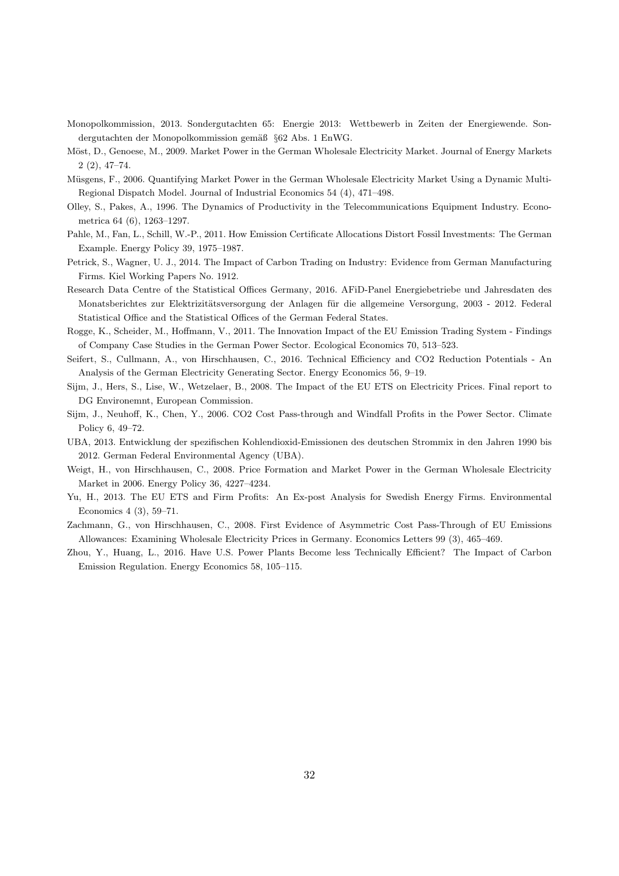- <span id="page-34-9"></span>Monopolkommission, 2013. Sondergutachten 65: Energie 2013: Wettbewerb in Zeiten der Energiewende. Sondergutachten der Monopolkommission gemäß §62 Abs. 1 EnWG.
- <span id="page-34-12"></span>Möst, D., Genoese, M., 2009. Market Power in the German Wholesale Electricity Market. Journal of Energy Markets 2 (2), 47–74.
- <span id="page-34-10"></span>Müsgens, F., 2006. Quantifying Market Power in the German Wholesale Electricity Market Using a Dynamic Multi-Regional Dispatch Model. Journal of Industrial Economics 54 (4), 471–498.
- <span id="page-34-2"></span>Olley, S., Pakes, A., 1996. The Dynamics of Productivity in the Telecommunications Equipment Industry. Econometrica 64 (6), 1263–1297.
- <span id="page-34-5"></span>Pahle, M., Fan, L., Schill, W.-P., 2011. How Emission Certificate Allocations Distort Fossil Investments: The German Example. Energy Policy 39, 1975–1987.
- <span id="page-34-7"></span>Petrick, S., Wagner, U. J., 2014. The Impact of Carbon Trading on Industry: Evidence from German Manufacturing Firms. Kiel Working Papers No. 1912.
- <span id="page-34-0"></span>Research Data Centre of the Statistical Offices Germany, 2016. AFiD-Panel Energiebetriebe und Jahresdaten des Monatsberichtes zur Elektrizitätsversorgung der Anlagen für die allgemeine Versorgung, 2003 - 2012. Federal Statistical Office and the Statistical Offices of the German Federal States.
- <span id="page-34-1"></span>Rogge, K., Scheider, M., Hoffmann, V., 2011. The Innovation Impact of the EU Emission Trading System - Findings of Company Case Studies in the German Power Sector. Ecological Economics 70, 513–523.
- <span id="page-34-15"></span>Seifert, S., Cullmann, A., von Hirschhausen, C., 2016. Technical Efficiency and CO2 Reduction Potentials - An Analysis of the German Electricity Generating Sector. Energy Economics 56, 9–19.
- <span id="page-34-13"></span>Sijm, J., Hers, S., Lise, W., Wetzelaer, B., 2008. The Impact of the EU ETS on Electricity Prices. Final report to DG Environemnt, European Commission.
- <span id="page-34-4"></span>Sijm, J., Neuhoff, K., Chen, Y., 2006. CO2 Cost Pass-through and Windfall Profits in the Power Sector. Climate Policy 6, 49–72.
- <span id="page-34-8"></span>UBA, 2013. Entwicklung der spezifischen Kohlendioxid-Emissionen des deutschen Strommix in den Jahren 1990 bis 2012. German Federal Environmental Agency (UBA).
- <span id="page-34-11"></span>Weigt, H., von Hirschhausen, C., 2008. Price Formation and Market Power in the German Wholesale Electricity Market in 2006. Energy Policy 36, 4227–4234.
- <span id="page-34-6"></span>Yu, H., 2013. The EU ETS and Firm Profits: An Ex-post Analysis for Swedish Energy Firms. Environmental Economics 4 (3), 59–71.
- <span id="page-34-14"></span>Zachmann, G., von Hirschhausen, C., 2008. First Evidence of Asymmetric Cost Pass-Through of EU Emissions Allowances: Examining Wholesale Electricity Prices in Germany. Economics Letters 99 (3), 465–469.
- <span id="page-34-3"></span>Zhou, Y., Huang, L., 2016. Have U.S. Power Plants Become less Technically Efficient? The Impact of Carbon Emission Regulation. Energy Economics 58, 105–115.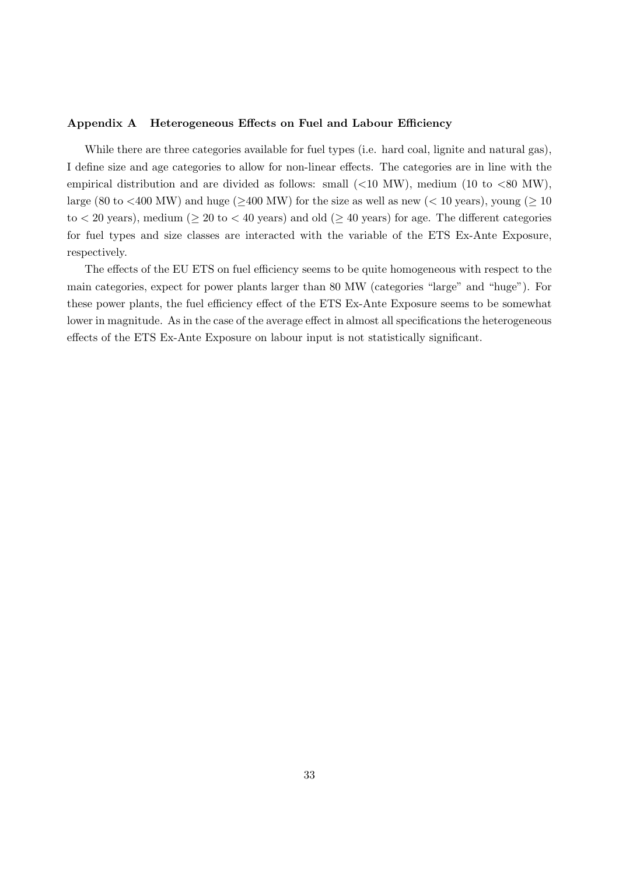## Appendix A Heterogeneous Effects on Fuel and Labour Efficiency

While there are three categories available for fuel types (i.e. hard coal, lignite and natural gas), I define size and age categories to allow for non-linear effects. The categories are in line with the empirical distribution and are divided as follows: small  $(<10~MW)$ , medium  $(10~to~<80~MW)$ , large (80 to <400 MW) and huge ( $\geq$ 400 MW) for the size as well as new (< 10 years), young ( $\geq$  10 to  $<$  20 years), medium ( $\geq$  20 to  $<$  40 years) and old ( $\geq$  40 years) for age. The different categories for fuel types and size classes are interacted with the variable of the ETS Ex-Ante Exposure, respectively.

The effects of the EU ETS on fuel efficiency seems to be quite homogeneous with respect to the main categories, expect for power plants larger than 80 MW (categories "large" and "huge"). For these power plants, the fuel efficiency effect of the ETS Ex-Ante Exposure seems to be somewhat lower in magnitude. As in the case of the average effect in almost all specifications the heterogeneous effects of the ETS Ex-Ante Exposure on labour input is not statistically significant.